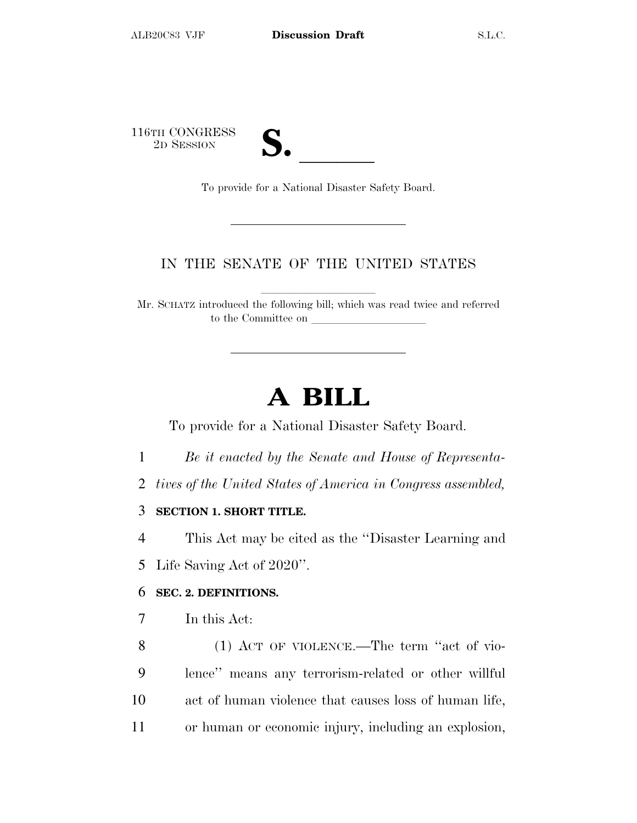116TH CONGRESS<br>2D SESSION

TH CONGRESS<br>
2D SESSION<br>
To provide for a National Disaster Safety Board.

## IN THE SENATE OF THE UNITED STATES

Mr. SCHATZ introduced the following bill; which was read twice and referred to the Committee on

## **A BILL**

To provide for a National Disaster Safety Board.

- 1 *Be it enacted by the Senate and House of Representa-*
- 2 *tives of the United States of America in Congress assembled,*

## 3 **SECTION 1. SHORT TITLE.**

4 This Act may be cited as the ''Disaster Learning and

5 Life Saving Act of 2020''.

#### 6 **SEC. 2. DEFINITIONS.**

- 7 In this Act:
- 8 (1) ACT OF VIOLENCE.—The term ''act of vio-9 lence'' means any terrorism-related or other willful 10 act of human violence that causes loss of human life, 11 or human or economic injury, including an explosion,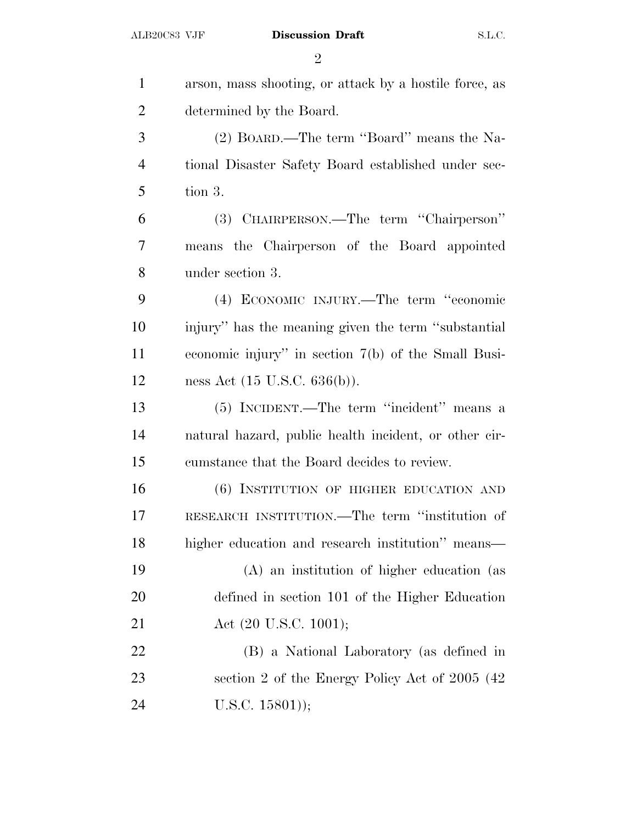| $\mathbf{1}$   | arson, mass shooting, or attack by a hostile force, as |
|----------------|--------------------------------------------------------|
| $\overline{2}$ | determined by the Board.                               |
| 3              | (2) BOARD.—The term "Board" means the Na-              |
| $\overline{4}$ | tional Disaster Safety Board established under sec-    |
| 5              | tion 3.                                                |
| 6              | (3) CHAIRPERSON.—The term "Chairperson"                |
| 7              | means the Chairperson of the Board appointed           |
| 8              | under section 3.                                       |
| 9              | (4) ECONOMIC INJURY.—The term "economic                |
| 10             | injury" has the meaning given the term "substantial"   |
| 11             | economic injury" in section $7(b)$ of the Small Busi-  |
| 12             | ness Act $(15 \text{ U.S.C. } 636(b))$ .               |
| 13             | (5) INCIDENT.—The term "incident" means a              |
| 14             | natural hazard, public health incident, or other cir-  |
| 15             | cumstance that the Board decides to review.            |
| 16             | (6) INSTITUTION OF HIGHER EDUCATION AND                |
| 17             | RESEARCH INSTITUTION.—The term "institution of         |
| 18             | higher education and research institution" means—      |
| 19             | (A) an institution of higher education (as             |
| 20             | defined in section 101 of the Higher Education         |
| 21             | Act $(20 \text{ U.S.C. } 1001);$                       |
| 22             | (B) a National Laboratory (as defined in               |
| 23             | section 2 of the Energy Policy Act of 2005 (42)        |
| 24             | $U.S.C. 15801$ );                                      |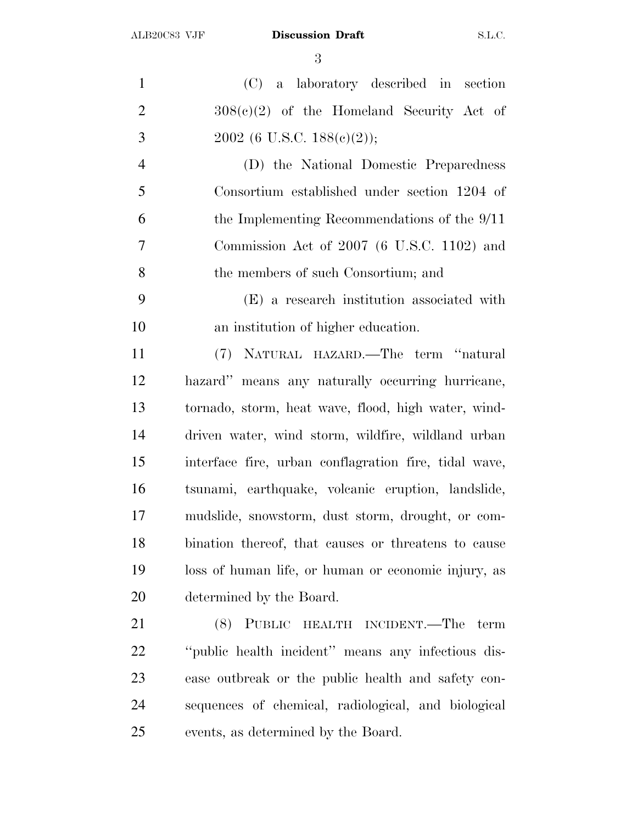(C) a laboratory described in section  $308(e)(2)$  of the Homeland Security Act of 3 2002 (6 U.S.C.  $188(c)(2)$ ); (D) the National Domestic Preparedness Consortium established under section 1204 of the Implementing Recommendations of the 9/11 Commission Act of 2007 (6 U.S.C. 1102) and the members of such Consortium; and (E) a research institution associated with an institution of higher education. (7) NATURAL HAZARD.—The term ''natural hazard'' means any naturally occurring hurricane, tornado, storm, heat wave, flood, high water, wind- driven water, wind storm, wildfire, wildland urban interface fire, urban conflagration fire, tidal wave, tsunami, earthquake, volcanic eruption, landslide, mudslide, snowstorm, dust storm, drought, or com- bination thereof, that causes or threatens to cause loss of human life, or human or economic injury, as determined by the Board. (8) PUBLIC HEALTH INCIDENT.—The term ''public health incident'' means any infectious dis- ease outbreak or the public health and safety con-sequences of chemical, radiological, and biological

events, as determined by the Board.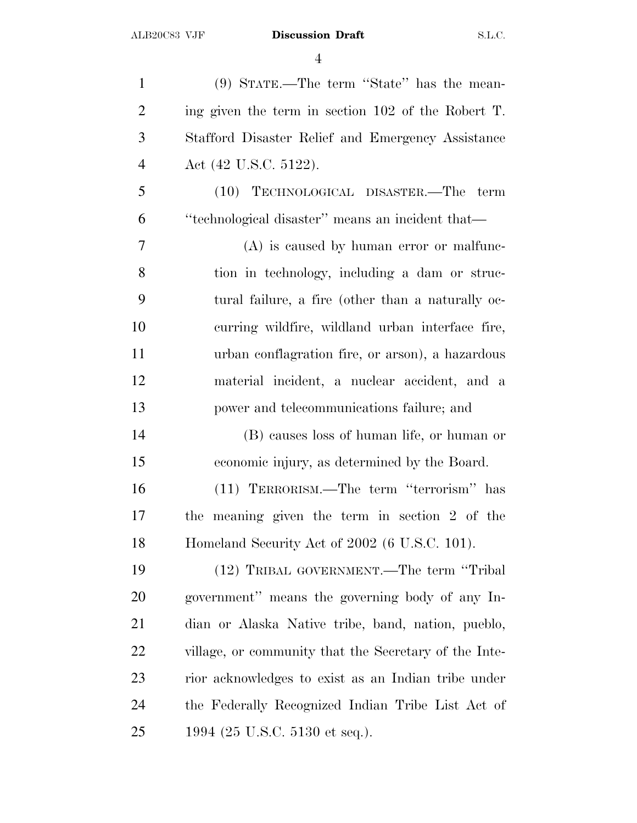(9) STATE.—The term ''State'' has the mean- ing given the term in section 102 of the Robert T. Stafford Disaster Relief and Emergency Assistance Act (42 U.S.C. 5122). (10) TECHNOLOGICAL DISASTER.—The term ''technological disaster'' means an incident that— (A) is caused by human error or malfunc- tion in technology, including a dam or struc- tural failure, a fire (other than a naturally oc- curring wildfire, wildland urban interface fire, urban conflagration fire, or arson), a hazardous material incident, a nuclear accident, and a power and telecommunications failure; and (B) causes loss of human life, or human or economic injury, as determined by the Board. (11) TERRORISM.—The term ''terrorism'' has the meaning given the term in section 2 of the Homeland Security Act of 2002 (6 U.S.C. 101). (12) TRIBAL GOVERNMENT.—The term ''Tribal government'' means the governing body of any In- dian or Alaska Native tribe, band, nation, pueblo, village, or community that the Secretary of the Inte- rior acknowledges to exist as an Indian tribe under the Federally Recognized Indian Tribe List Act of 1994 (25 U.S.C. 5130 et seq.).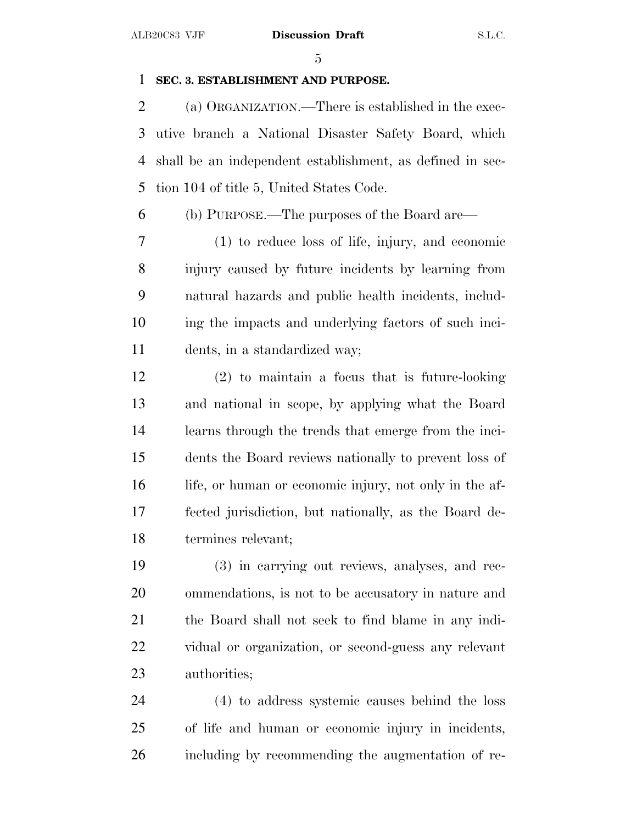## **SEC. 3. ESTABLISHMENT AND PURPOSE.**

 (a) ORGANIZATION.—There is established in the exec- utive branch a National Disaster Safety Board, which shall be an independent establishment, as defined in sec-tion 104 of title 5, United States Code.

(b) PURPOSE.—The purposes of the Board are—

 (1) to reduce loss of life, injury, and economic injury caused by future incidents by learning from natural hazards and public health incidents, includ- ing the impacts and underlying factors of such inci-dents, in a standardized way;

 (2) to maintain a focus that is future-looking and national in scope, by applying what the Board learns through the trends that emerge from the inci- dents the Board reviews nationally to prevent loss of life, or human or economic injury, not only in the af- fected jurisdiction, but nationally, as the Board de-termines relevant;

 (3) in carrying out reviews, analyses, and rec- ommendations, is not to be accusatory in nature and the Board shall not seek to find blame in any indi- vidual or organization, or second-guess any relevant authorities;

 (4) to address systemic causes behind the loss of life and human or economic injury in incidents, including by recommending the augmentation of re-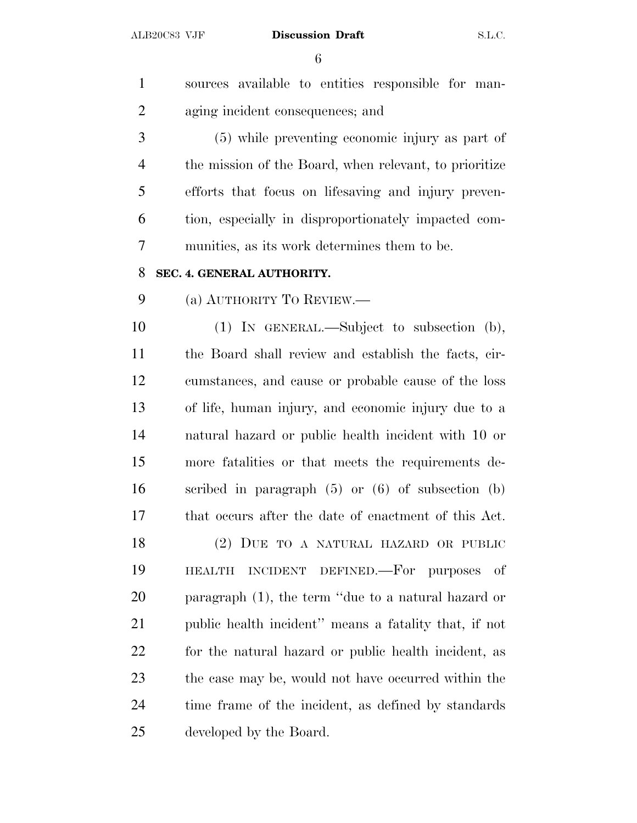sources available to entities responsible for man- aging incident consequences; and (5) while preventing economic injury as part of the mission of the Board, when relevant, to prioritize efforts that focus on lifesaving and injury preven- tion, especially in disproportionately impacted com- munities, as its work determines them to be. **SEC. 4. GENERAL AUTHORITY.** (a) AUTHORITY T<sup>O</sup> REVIEW.— (1) IN GENERAL.—Subject to subsection (b), the Board shall review and establish the facts, cir- cumstances, and cause or probable cause of the loss of life, human injury, and economic injury due to a natural hazard or public health incident with 10 or more fatalities or that meets the requirements de- scribed in paragraph (5) or (6) of subsection (b) that occurs after the date of enactment of this Act. (2) DUE TO A NATURAL HAZARD OR PUBLIC HEALTH INCIDENT DEFINED.—For purposes of paragraph (1), the term ''due to a natural hazard or public health incident'' means a fatality that, if not for the natural hazard or public health incident, as the case may be, would not have occurred within the time frame of the incident, as defined by standards developed by the Board.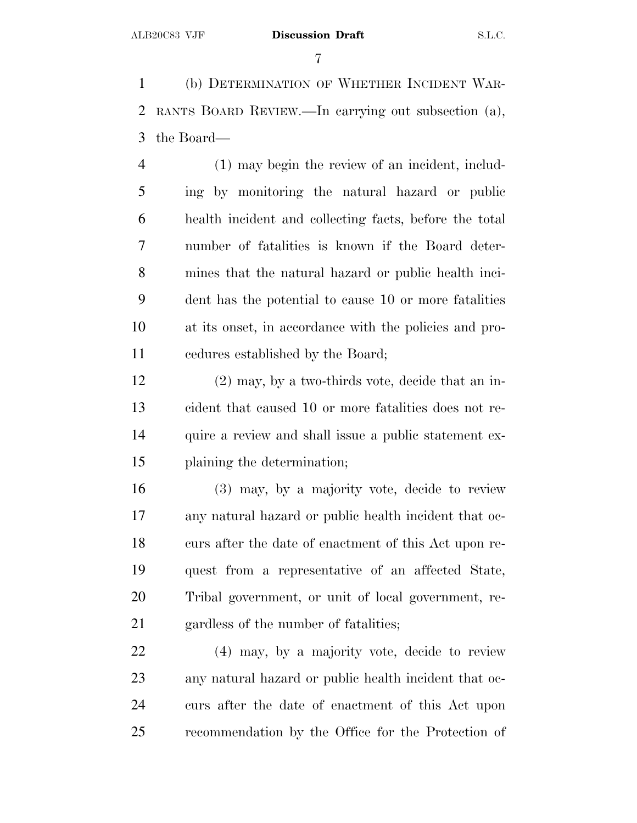(b) DETERMINATION OF WHETHER INCIDENT WAR- RANTS BOARD REVIEW.—In carrying out subsection (a), the Board—

 (1) may begin the review of an incident, includ- ing by monitoring the natural hazard or public health incident and collecting facts, before the total number of fatalities is known if the Board deter- mines that the natural hazard or public health inci- dent has the potential to cause 10 or more fatalities at its onset, in accordance with the policies and pro-cedures established by the Board;

 (2) may, by a two-thirds vote, decide that an in- cident that caused 10 or more fatalities does not re- quire a review and shall issue a public statement ex-plaining the determination;

 (3) may, by a majority vote, decide to review any natural hazard or public health incident that oc- curs after the date of enactment of this Act upon re- quest from a representative of an affected State, Tribal government, or unit of local government, re-gardless of the number of fatalities;

 (4) may, by a majority vote, decide to review any natural hazard or public health incident that oc- curs after the date of enactment of this Act upon recommendation by the Office for the Protection of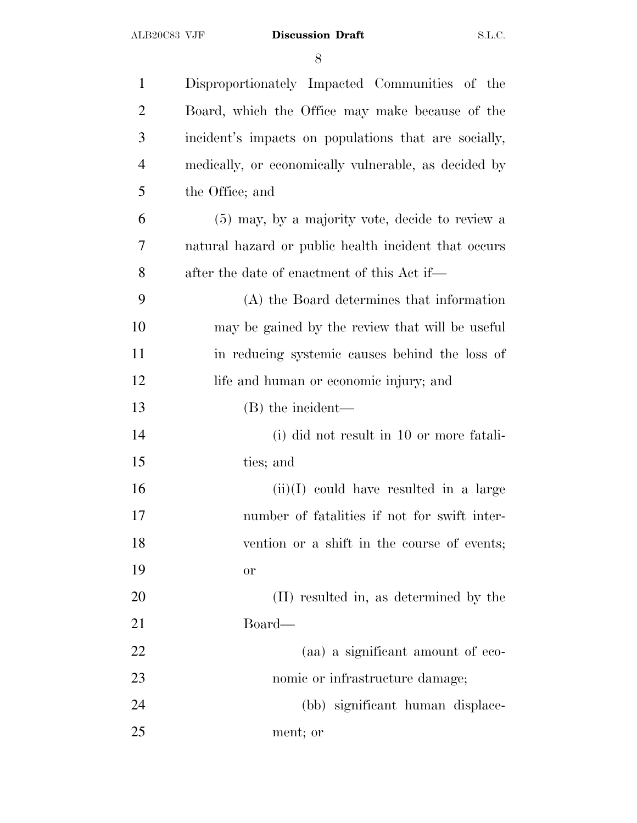| $\mathbf{1}$   | Disproportionately Impacted Communities of the       |
|----------------|------------------------------------------------------|
| $\overline{2}$ | Board, which the Office may make because of the      |
| 3              | incident's impacts on populations that are socially, |
| $\overline{4}$ | medically, or economically vulnerable, as decided by |
| 5              | the Office; and                                      |
| 6              | (5) may, by a majority vote, decide to review a      |
| 7              | natural hazard or public health incident that occurs |
| 8              | after the date of enactment of this Act if—          |
| 9              | (A) the Board determines that information            |
| 10             | may be gained by the review that will be useful      |
| 11             | in reducing systemic causes behind the loss of       |
| 12             | life and human or economic injury; and               |
| 13             | (B) the incident—                                    |
| 14             | (i) did not result in 10 or more fatali-             |
| 15             | ties; and                                            |
| 16             | $(ii)(I)$ could have resulted in a large             |
| 17             | number of fatalities if not for swift inter-         |
| 18             | vention or a shift in the course of events;          |
| 19             | <b>or</b>                                            |
| 20             | (II) resulted in, as determined by the               |
| 21             | Board—                                               |
| 22             | (aa) a significant amount of eco-                    |
| 23             | nomic or infrastructure damage;                      |
| 24             | (bb) significant human displace-                     |
| 25             | ment; or                                             |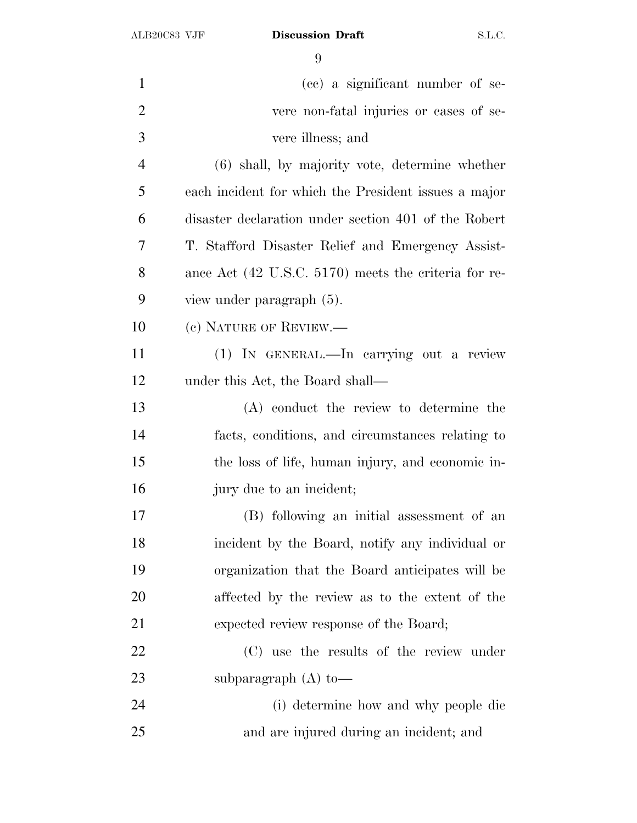| $\mathbf{1}$   | (cc) a significant number of se-                     |
|----------------|------------------------------------------------------|
| $\overline{2}$ | vere non-fatal injuries or cases of se-              |
| 3              | vere illness; and                                    |
| $\overline{4}$ | (6) shall, by majority vote, determine whether       |
| 5              | each incident for which the President issues a major |
| 6              | disaster declaration under section 401 of the Robert |
| 7              | T. Stafford Disaster Relief and Emergency Assist-    |
| 8              | ance Act (42 U.S.C. 5170) meets the criteria for re- |
| 9              | view under paragraph (5).                            |
| 10             | (c) NATURE OF REVIEW.—                               |
| 11             | (1) IN GENERAL.—In carrying out a review             |
| 12             | under this Act, the Board shall—                     |
| 13             | (A) conduct the review to determine the              |
| 14             | facts, conditions, and circumstances relating to     |
| 15             | the loss of life, human injury, and economic in-     |
| 16             | jury due to an incident;                             |
| 17             | (B) following an initial assessment of an            |
| 18             | incident by the Board, notify any individual or      |
| 19             | organization that the Board anticipates will be      |
| 20             | affected by the review as to the extent of the       |
| 21             | expected review response of the Board;               |
| 22             | (C) use the results of the review under              |
| 23             | subparagraph $(A)$ to —                              |
| 24             | (i) determine how and why people die                 |
| 25             | and are injured during an incident; and              |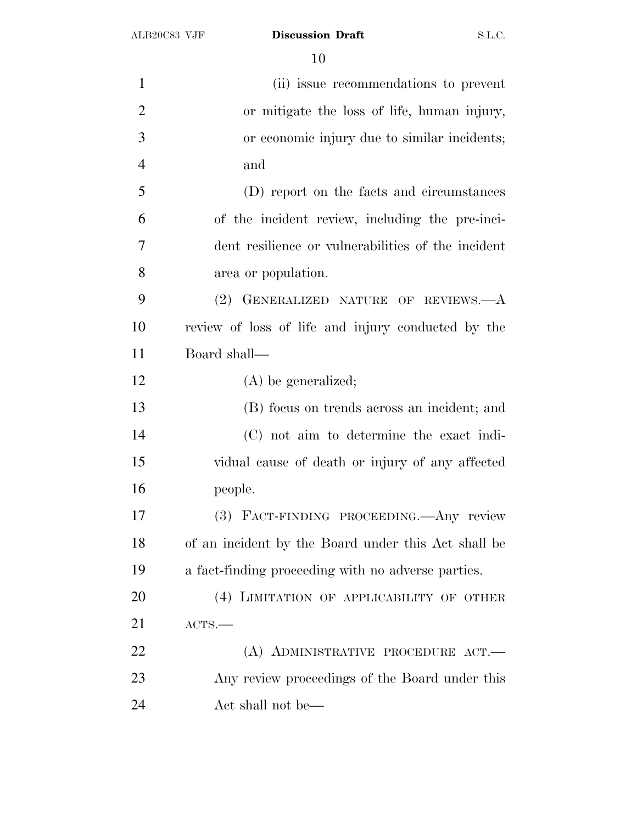| $\mathbf{1}$   | (ii) issue recommendations to prevent               |
|----------------|-----------------------------------------------------|
| $\overline{2}$ | or mitigate the loss of life, human injury,         |
| 3              | or economic injury due to similar incidents;        |
| $\overline{4}$ | and                                                 |
| 5              | (D) report on the facts and circumstances           |
| 6              | of the incident review, including the pre-inci-     |
| 7              | dent resilience or vulnerabilities of the incident  |
| 8              | area or population.                                 |
| 9              | (2) GENERALIZED NATURE OF REVIEWS.-- A              |
| 10             | review of loss of life and injury conducted by the  |
| 11             | Board shall-                                        |
| 12             | $(A)$ be generalized;                               |
| 13             | (B) focus on trends across an incident; and         |
| 14             | (C) not aim to determine the exact indi-            |
| 15             | vidual cause of death or injury of any affected     |
| 16             | people.                                             |
| 17             | (3) FACT-FINDING PROCEEDING. Any review             |
| 18             | of an incident by the Board under this Act shall be |
| 19             | a fact-finding proceeding with no adverse parties.  |
| 20             | (4) LIMITATION OF APPLICABILITY OF OTHER            |
| 21             | ACTS.                                               |
| 22             | (A) ADMINISTRATIVE PROCEDURE ACT.                   |
| 23             | Any review proceedings of the Board under this      |
| 24             | Act shall not be—                                   |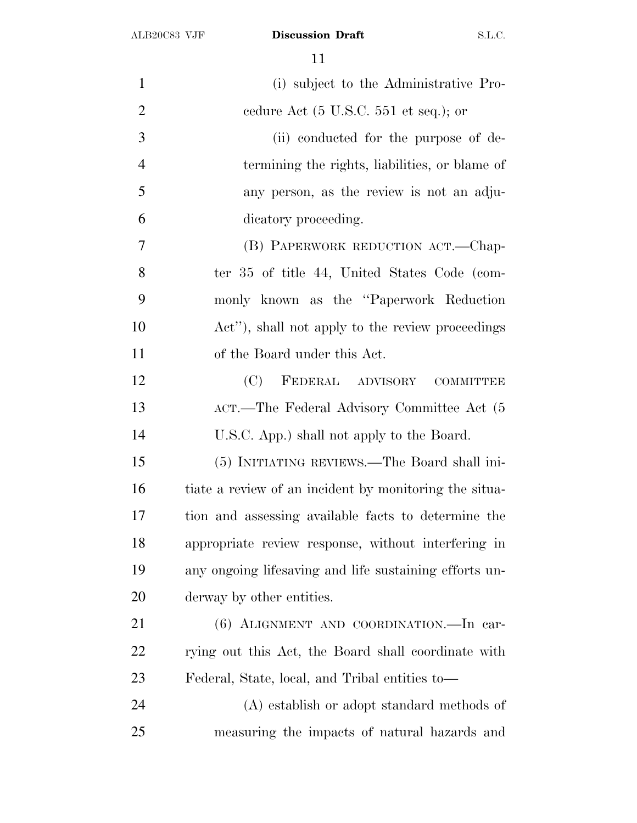| $\mathbf{1}$   | (i) subject to the Administrative Pro-                   |
|----------------|----------------------------------------------------------|
| $\overline{2}$ | cedure Act $(5 \text{ U.S.C. } 551 \text{ et seq.});$ or |
| 3              | (ii) conducted for the purpose of de-                    |
| $\overline{4}$ | termining the rights, liabilities, or blame of           |
| 5              | any person, as the review is not an adju-                |
| 6              | dicatory proceeding.                                     |
| 7              | (B) PAPERWORK REDUCTION ACT.-Chap-                       |
| 8              | ter 35 of title 44, United States Code (com-             |
| 9              | monly known as the "Paperwork Reduction"                 |
| 10             | Act"), shall not apply to the review proceedings         |
| 11             | of the Board under this Act.                             |
| 12             | FEDERAL ADVISORY COMMITTEE<br>(C)                        |
| 13             | ACT.—The Federal Advisory Committee Act (5               |
| 14             | U.S.C. App.) shall not apply to the Board.               |
| 15             | (5) INITIATING REVIEWS.—The Board shall ini-             |
| 16             | tiate a review of an incident by monitoring the situa-   |
| 17             | tion and assessing available facts to determine the      |
| 18             | appropriate review response, without interfering in      |
| 19             | any ongoing lifesaving and life sustaining efforts un-   |
| <b>20</b>      | derway by other entities.                                |
| 21             | (6) ALIGNMENT AND COORDINATION. - In car-                |
| <u>22</u>      | rying out this Act, the Board shall coordinate with      |
| 23             | Federal, State, local, and Tribal entities to—           |
| 24             | (A) establish or adopt standard methods of               |
| 25             | measuring the impacts of natural hazards and             |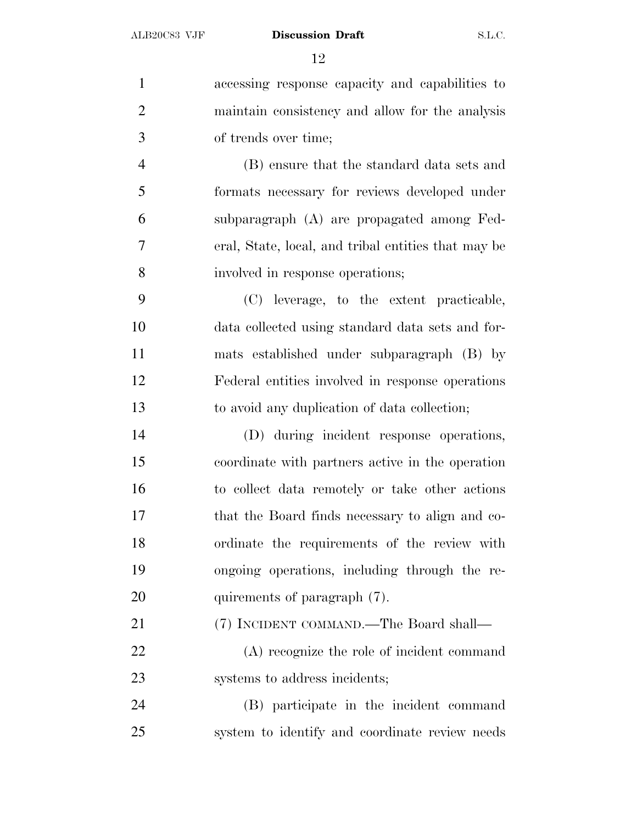accessing response capacity and capabilities to maintain consistency and allow for the analysis of trends over time; (B) ensure that the standard data sets and formats necessary for reviews developed under subparagraph (A) are propagated among Fed- eral, State, local, and tribal entities that may be involved in response operations; (C) leverage, to the extent practicable, data collected using standard data sets and for- mats established under subparagraph (B) by Federal entities involved in response operations to avoid any duplication of data collection; (D) during incident response operations, coordinate with partners active in the operation to collect data remotely or take other actions that the Board finds necessary to align and co- ordinate the requirements of the review with ongoing operations, including through the re-20 quirements of paragraph  $(7)$ . (7) INCIDENT COMMAND.—The Board shall— (A) recognize the role of incident command systems to address incidents; (B) participate in the incident command system to identify and coordinate review needs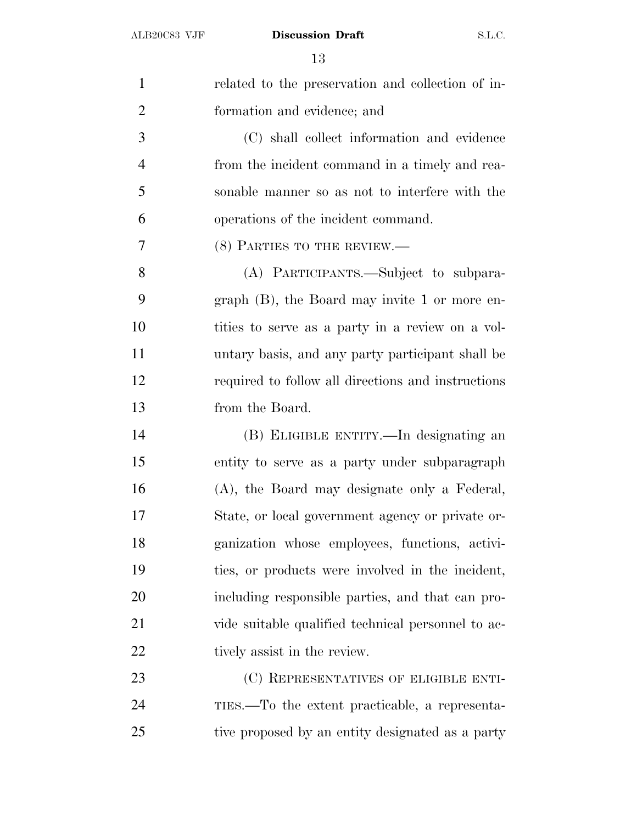| $\mathbf{1}$   | related to the preservation and collection of in-  |
|----------------|----------------------------------------------------|
| $\overline{2}$ | formation and evidence; and                        |
| 3              | (C) shall collect information and evidence         |
| $\overline{4}$ | from the incident command in a timely and rea-     |
| 5              | sonable manner so as not to interfere with the     |
| 6              | operations of the incident command.                |
| 7              | (8) PARTIES TO THE REVIEW.                         |
| 8              | (A) PARTICIPANTS.—Subject to subpara-              |
| 9              | graph $(B)$ , the Board may invite 1 or more en-   |
| 10             | tities to serve as a party in a review on a vol-   |
| 11             | untary basis, and any party participant shall be   |
| 12             | required to follow all directions and instructions |
| 13             | from the Board.                                    |
| 14             | (B) ELIGIBLE ENTITY.—In designating an             |
| 15             | entity to serve as a party under subparagraph      |
| 16             | (A), the Board may designate only a Federal,       |
| 17             | State, or local government agency or private or-   |
| 18             | ganization whose employees, functions, activi-     |
| 19             | ties, or products were involved in the incident,   |
| 20             | including responsible parties, and that can pro-   |
| 21             | vide suitable qualified technical personnel to ac- |
| 22             | tively assist in the review.                       |
| 23             | (C) REPRESENTATIVES OF ELIGIBLE ENTI-              |
| 24             | TIES.—To the extent practicable, a representa-     |
| 25             | tive proposed by an entity designated as a party   |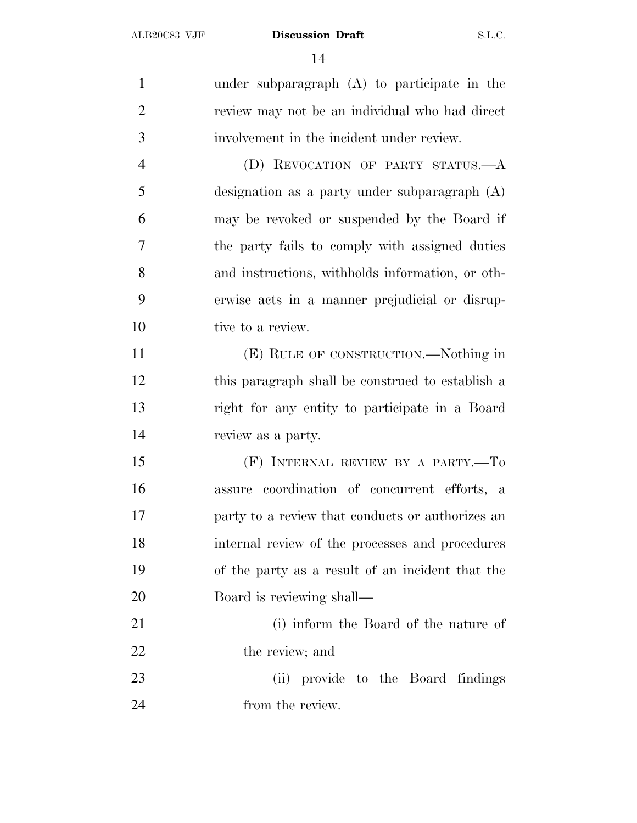under subparagraph (A) to participate in the review may not be an individual who had direct involvement in the incident under review. (D) REVOCATION OF PARTY STATUS.—A designation as a party under subparagraph (A) may be revoked or suspended by the Board if the party fails to comply with assigned duties and instructions, withholds information, or oth- erwise acts in a manner prejudicial or disrup-10 tive to a review. (E) RULE OF CONSTRUCTION.—Nothing in this paragraph shall be construed to establish a right for any entity to participate in a Board review as a party. (F) INTERNAL REVIEW BY A PARTY.—To assure coordination of concurrent efforts, a party to a review that conducts or authorizes an internal review of the processes and procedures of the party as a result of an incident that the Board is reviewing shall— (i) inform the Board of the nature of 22 the review; and (ii) provide to the Board findings 24 from the review.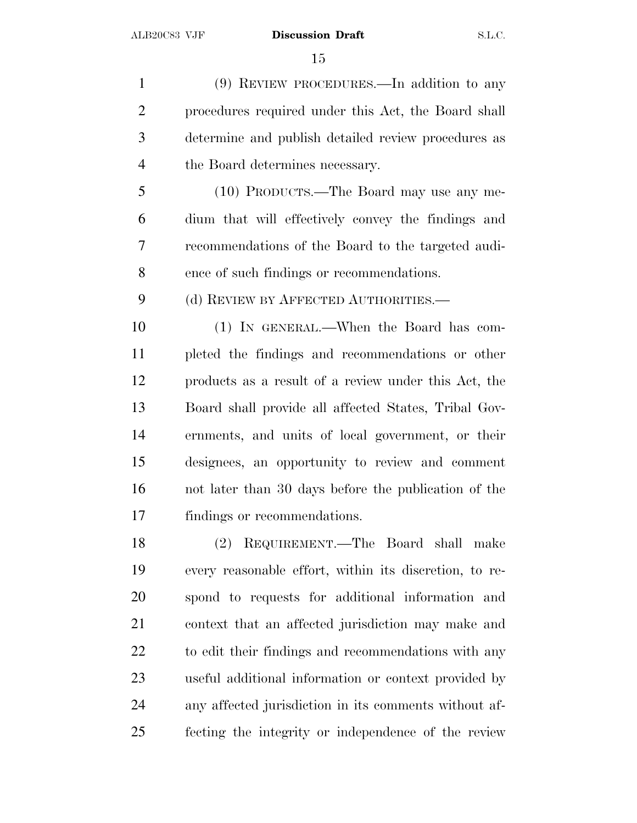(9) REVIEW PROCEDURES.—In addition to any procedures required under this Act, the Board shall determine and publish detailed review procedures as the Board determines necessary.

 (10) PRODUCTS.—The Board may use any me- dium that will effectively convey the findings and recommendations of the Board to the targeted audi-ence of such findings or recommendations.

9 (d) REVIEW BY AFFECTED AUTHORITIES.—

 (1) IN GENERAL.—When the Board has com- pleted the findings and recommendations or other products as a result of a review under this Act, the Board shall provide all affected States, Tribal Gov- ernments, and units of local government, or their designees, an opportunity to review and comment not later than 30 days before the publication of the findings or recommendations.

 (2) REQUIREMENT.—The Board shall make every reasonable effort, within its discretion, to re- spond to requests for additional information and context that an affected jurisdiction may make and 22 to edit their findings and recommendations with any useful additional information or context provided by any affected jurisdiction in its comments without af-fecting the integrity or independence of the review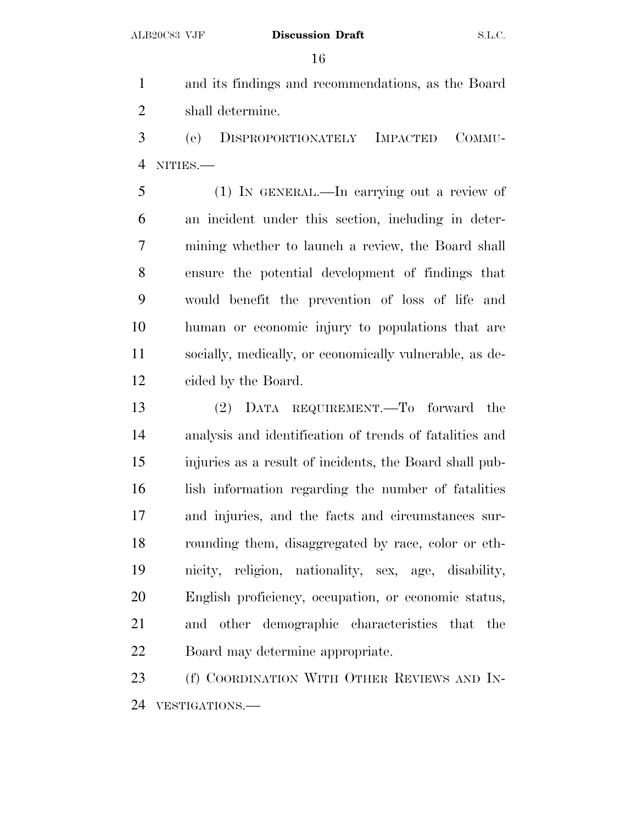and its findings and recommendations, as the Board shall determine.

 (e) DISPROPORTIONATELY IMPACTED COMMU-NITIES.—

 (1) IN GENERAL.—In carrying out a review of an incident under this section, including in deter- mining whether to launch a review, the Board shall ensure the potential development of findings that would benefit the prevention of loss of life and human or economic injury to populations that are socially, medically, or economically vulnerable, as de-cided by the Board.

 (2) DATA REQUIREMENT.—To forward the analysis and identification of trends of fatalities and injuries as a result of incidents, the Board shall pub- lish information regarding the number of fatalities and injuries, and the facts and circumstances sur- rounding them, disaggregated by race, color or eth- nicity, religion, nationality, sex, age, disability, English proficiency, occupation, or economic status, and other demographic characteristics that the Board may determine appropriate.

23 (f) COORDINATION WITH OTHER REVIEWS AND IN-VESTIGATIONS.—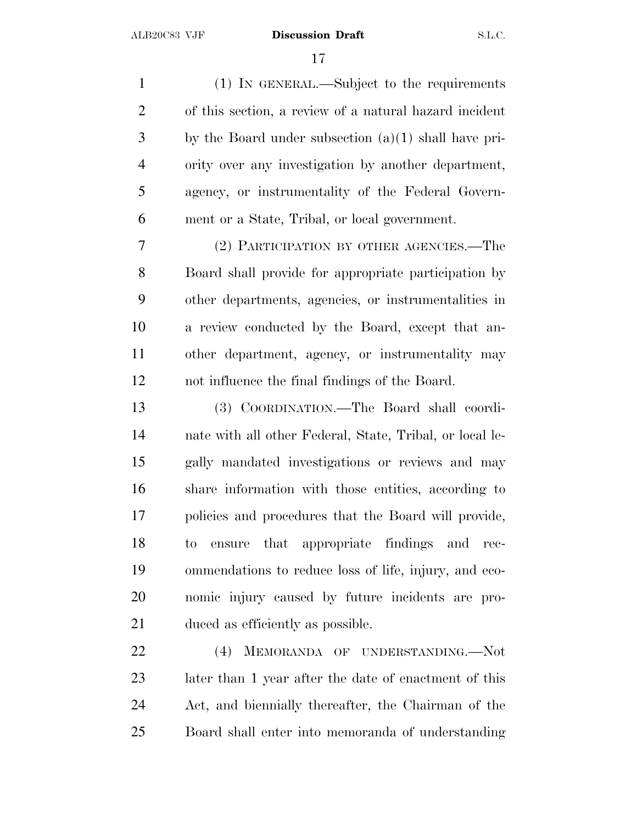(1) IN GENERAL.—Subject to the requirements of this section, a review of a natural hazard incident by the Board under subsection (a)(1) shall have pri- ority over any investigation by another department, agency, or instrumentality of the Federal Govern-ment or a State, Tribal, or local government.

 (2) PARTICIPATION BY OTHER AGENCIES.—The Board shall provide for appropriate participation by other departments, agencies, or instrumentalities in a review conducted by the Board, except that an- other department, agency, or instrumentality may not influence the final findings of the Board.

 (3) COORDINATION.—The Board shall coordi- nate with all other Federal, State, Tribal, or local le- gally mandated investigations or reviews and may share information with those entities, according to policies and procedures that the Board will provide, to ensure that appropriate findings and rec- ommendations to reduce loss of life, injury, and eco- nomic injury caused by future incidents are pro-duced as efficiently as possible.

 (4) MEMORANDA OF UNDERSTANDING.—Not later than 1 year after the date of enactment of this Act, and biennially thereafter, the Chairman of the Board shall enter into memoranda of understanding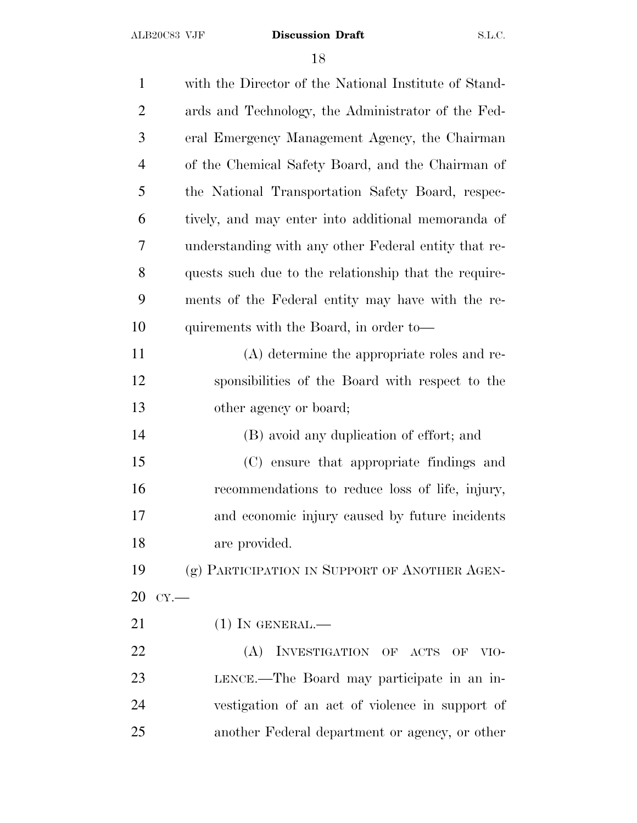| $\mathbf{1}$   | with the Director of the National Institute of Stand- |
|----------------|-------------------------------------------------------|
| $\overline{2}$ | ards and Technology, the Administrator of the Fed-    |
| 3              | eral Emergency Management Agency, the Chairman        |
| $\overline{4}$ | of the Chemical Safety Board, and the Chairman of     |
| 5              | the National Transportation Safety Board, respec-     |
| 6              | tively, and may enter into additional memoranda of    |
| 7              | understanding with any other Federal entity that re-  |
| 8              | quests such due to the relationship that the require- |
| 9              | ments of the Federal entity may have with the re-     |
| 10             | quirements with the Board, in order to—               |
| 11             | (A) determine the appropriate roles and re-           |
| 12             | sponsibilities of the Board with respect to the       |
| 13             | other agency or board;                                |
| 14             | (B) avoid any duplication of effort; and              |
| 15             | (C) ensure that appropriate findings and              |
| 16             | recommendations to reduce loss of life, injury,       |
| 17             | and economic injury caused by future incidents        |
| 18             | are provided.                                         |
| 19             | (g) PARTICIPATION IN SUPPORT OF ANOTHER AGEN-         |
| 20             | CY.                                                   |
| 21             | $(1)$ In GENERAL.—                                    |
| 22             | (A) INVESTIGATION OF ACTS OF VIO-                     |
| 23             | LENCE.—The Board may participate in an in-            |
| 24             | vestigation of an act of violence in support of       |
| 25             | another Federal department or agency, or other        |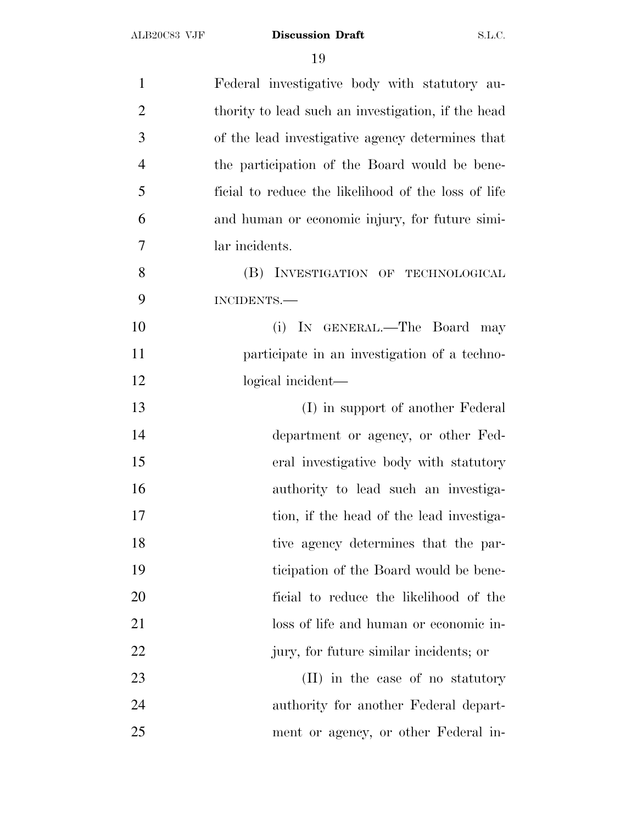| $\mathbf{1}$   | Federal investigative body with statutory au-       |
|----------------|-----------------------------------------------------|
| $\overline{2}$ | thority to lead such an investigation, if the head  |
| 3              | of the lead investigative agency determines that    |
| $\overline{4}$ | the participation of the Board would be bene-       |
| 5              | ficial to reduce the likelihood of the loss of life |
| 6              | and human or economic injury, for future simi-      |
| 7              | lar incidents.                                      |
| 8              | (B) INVESTIGATION OF TECHNOLOGICAL                  |
| 9              | INCIDENTS.-                                         |
| 10             | (i) IN GENERAL.—The Board may                       |
| 11             | participate in an investigation of a techno-        |
| 12             | logical incident—                                   |
| 13             | (I) in support of another Federal                   |
| 14             | department or agency, or other Fed-                 |
| 15             | eral investigative body with statutory              |
| 16             | authority to lead such an investiga-                |
| 17             | tion, if the head of the lead investiga-            |
| 18             | tive agency determines that the par-                |
| 19             | ticipation of the Board would be bene-              |
| 20             | ficial to reduce the likelihood of the              |
| 21             | loss of life and human or economic in-              |
| 22             | jury, for future similar incidents; or              |
| 23             | (II) in the case of no statutory                    |
| 24             | authority for another Federal depart-               |
| 25             | ment or agency, or other Federal in-                |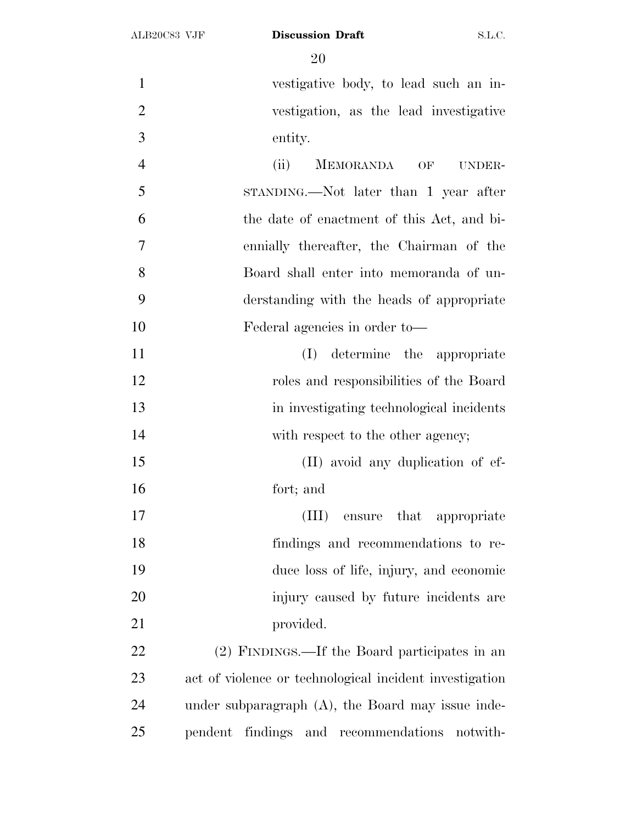vestigative body, to lead such an in- vestigation, as the lead investigative entity. (ii) MEMORANDA OF UNDER- STANDING.—Not later than 1 year after the date of enactment of this Act, and bi- ennially thereafter, the Chairman of the Board shall enter into memoranda of un- derstanding with the heads of appropriate Federal agencies in order to— (I) determine the appropriate roles and responsibilities of the Board in investigating technological incidents 14 with respect to the other agency; 15 (II) avoid any duplication of ef- fort; and (III) ensure that appropriate findings and recommendations to re- duce loss of life, injury, and economic injury caused by future incidents are 21 provided. (2) FINDINGS.—If the Board participates in an act of violence or technological incident investigation under subparagraph (A), the Board may issue inde-

pendent findings and recommendations notwith-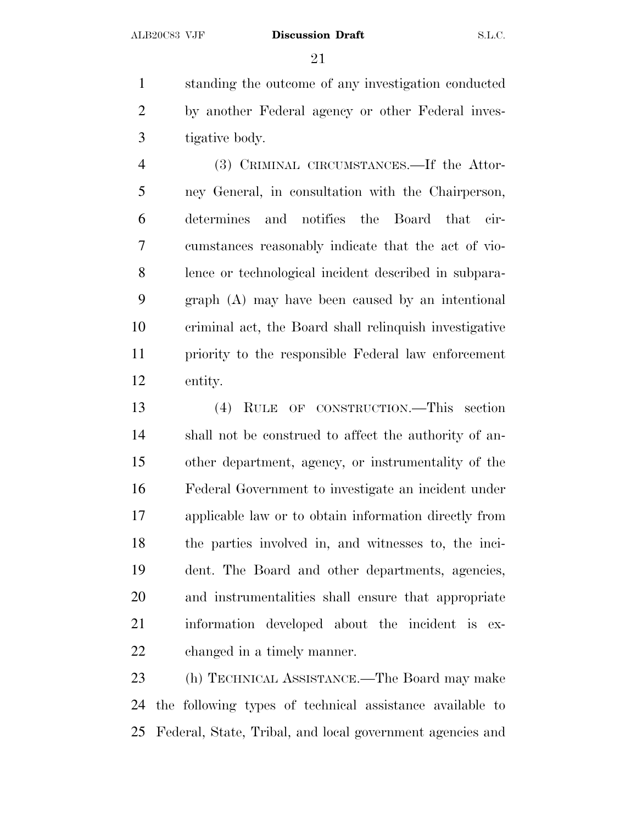standing the outcome of any investigation conducted by another Federal agency or other Federal inves-tigative body.

 (3) CRIMINAL CIRCUMSTANCES.—If the Attor- ney General, in consultation with the Chairperson, determines and notifies the Board that cir- cumstances reasonably indicate that the act of vio- lence or technological incident described in subpara- graph (A) may have been caused by an intentional criminal act, the Board shall relinquish investigative priority to the responsible Federal law enforcement entity.

 (4) RULE OF CONSTRUCTION.—This section shall not be construed to affect the authority of an- other department, agency, or instrumentality of the Federal Government to investigate an incident under applicable law or to obtain information directly from the parties involved in, and witnesses to, the inci- dent. The Board and other departments, agencies, and instrumentalities shall ensure that appropriate information developed about the incident is ex-changed in a timely manner.

 (h) TECHNICAL ASSISTANCE.—The Board may make the following types of technical assistance available to Federal, State, Tribal, and local government agencies and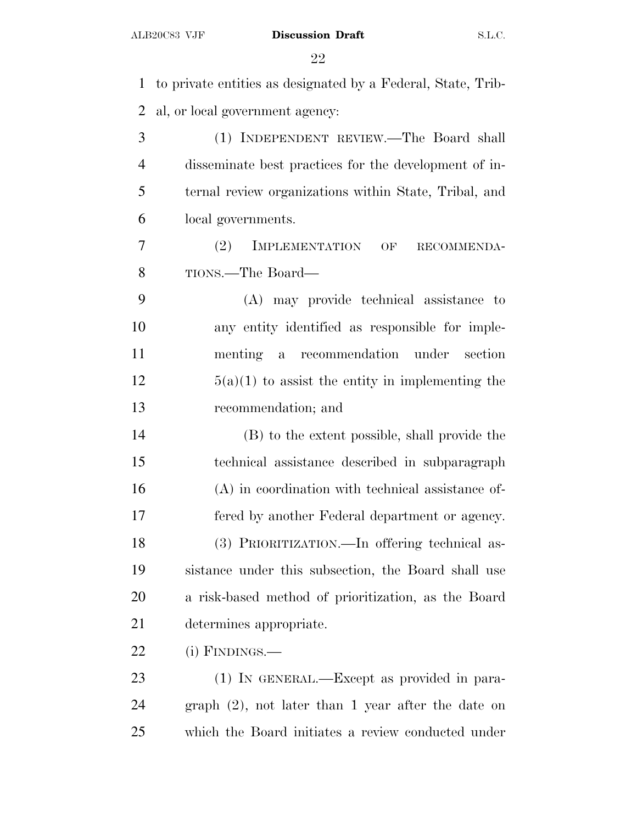to private entities as designated by a Federal, State, Trib- al, or local government agency: (1) INDEPENDENT REVIEW.—The Board shall disseminate best practices for the development of in- ternal review organizations within State, Tribal, and local governments. (2) IMPLEMENTATION OF RECOMMENDA- TIONS.—The Board— (A) may provide technical assistance to any entity identified as responsible for imple- menting a recommendation under section  $12 \t\t 5(a)(1)$  to assist the entity in implementing the recommendation; and (B) to the extent possible, shall provide the technical assistance described in subparagraph (A) in coordination with technical assistance of- fered by another Federal department or agency. (3) PRIORITIZATION.—In offering technical as- sistance under this subsection, the Board shall use a risk-based method of prioritization, as the Board determines appropriate. (i) FINDINGS.— 23 (1) IN GENERAL.—Except as provided in para- graph (2), not later than 1 year after the date on which the Board initiates a review conducted under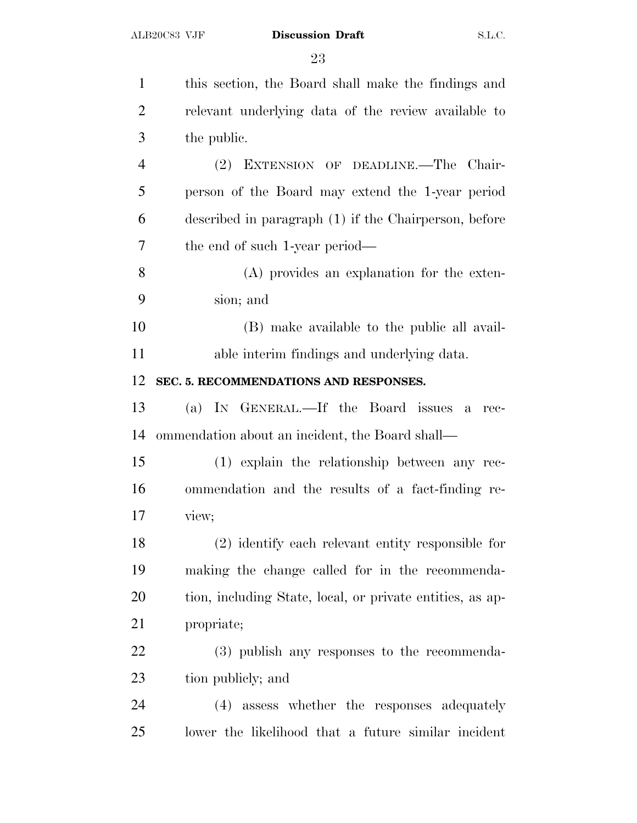| $\mathbf{1}$   | this section, the Board shall make the findings and         |
|----------------|-------------------------------------------------------------|
| $\overline{2}$ | relevant underlying data of the review available to         |
| 3              | the public.                                                 |
| $\overline{4}$ | (2) EXTENSION OF DEADLINE.—The Chair-                       |
| 5              | person of the Board may extend the 1-year period            |
| 6              | described in paragraph (1) if the Chairperson, before       |
| 7              | the end of such 1-year period—                              |
| 8              | (A) provides an explanation for the exten-                  |
| 9              | sion; and                                                   |
| 10             | (B) make available to the public all avail-                 |
| 11             | able interim findings and underlying data.                  |
| 12             | SEC. 5. RECOMMENDATIONS AND RESPONSES.                      |
| 13             | (a) IN GENERAL.—If the Board issues<br>$\mathbf{a}$<br>rec- |
| 14             | ommendation about an incident, the Board shall—             |
| 15             | (1) explain the relationship between any rec-               |
| 16             | ommendation and the results of a fact-finding re-           |
| 17             | view;                                                       |
| 18             | (2) identify each relevant entity responsible for           |
| 19             | making the change called for in the recommenda-             |
| 20             | tion, including State, local, or private entities, as ap-   |
| 21             | propriate;                                                  |
| 22             | (3) publish any responses to the recommenda-                |
| 23             | tion publicly; and                                          |
| 24             | (4) assess whether the responses adequately                 |
| 25             | lower the likelihood that a future similar incident         |
|                |                                                             |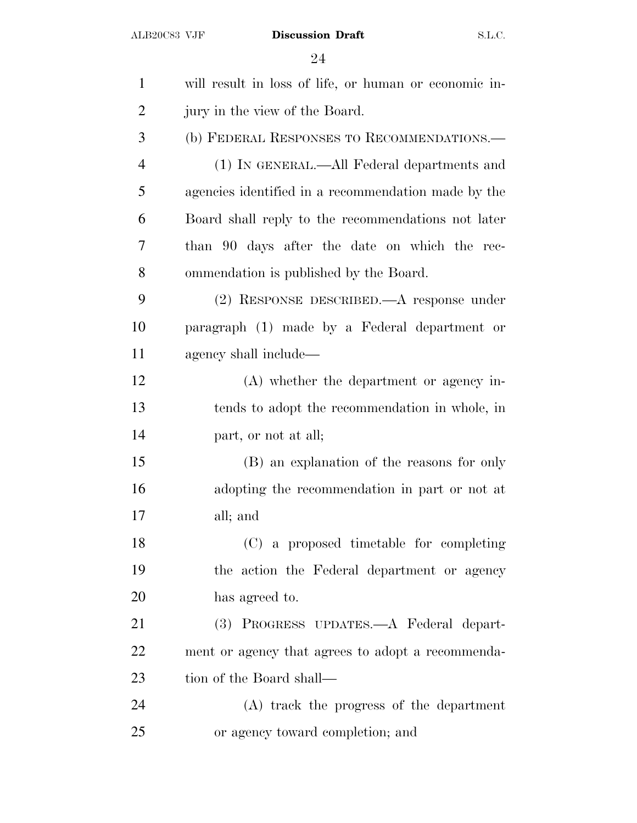| $\mathbf{1}$   | will result in loss of life, or human or economic in- |
|----------------|-------------------------------------------------------|
| $\overline{2}$ | jury in the view of the Board.                        |
| 3              | (b) FEDERAL RESPONSES TO RECOMMENDATIONS.-            |
| $\overline{4}$ | (1) IN GENERAL.—All Federal departments and           |
| 5              | agencies identified in a recommendation made by the   |
| 6              | Board shall reply to the recommendations not later    |
| 7              | than 90 days after the date on which the rec-         |
| 8              | ommendation is published by the Board.                |
| 9              | (2) RESPONSE DESCRIBED.—A response under              |
| 10             | paragraph (1) made by a Federal department or         |
| 11             | agency shall include—                                 |
| 12             | (A) whether the department or agency in-              |
| 13             | tends to adopt the recommendation in whole, in        |
| 14             | part, or not at all;                                  |
| 15             | (B) an explanation of the reasons for only            |
| 16             | adopting the recommendation in part or not at         |
| 17             | all; and                                              |
| 18             | (C) a proposed timetable for completing               |
| 19             | the action the Federal department or agency           |
| 20             | has agreed to.                                        |
| 21             | (3) PROGRESS UPDATES.—A Federal depart-               |
| 22             | ment or agency that agrees to adopt a recommenda-     |
| 23             | tion of the Board shall—                              |
| 24             | (A) track the progress of the department              |
| 25             | or agency toward completion; and                      |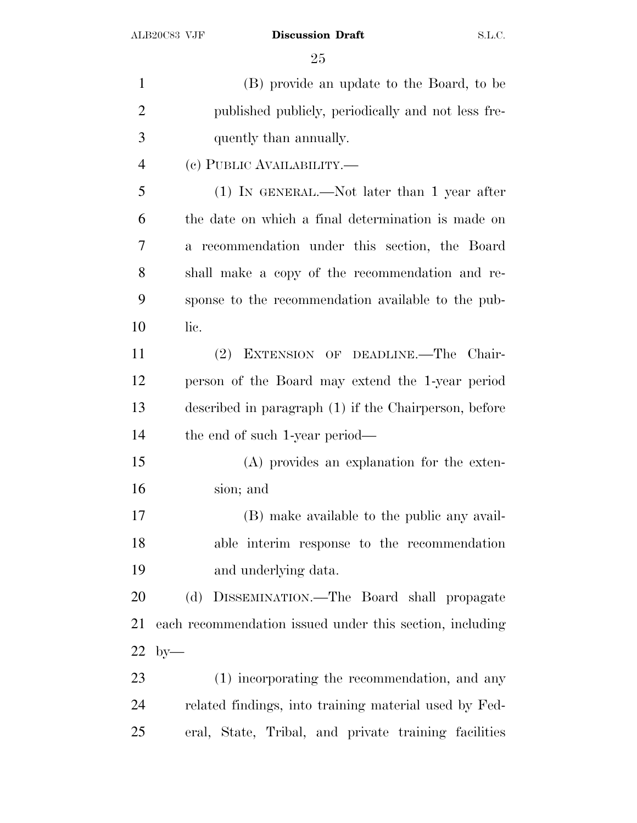(B) provide an update to the Board, to be published publicly, periodically and not less fre- quently than annually. (c) PUBLIC AVAILABILITY.— (1) IN GENERAL.—Not later than 1 year after the date on which a final determination is made on a recommendation under this section, the Board shall make a copy of the recommendation and re- sponse to the recommendation available to the pub- lic. (2) EXTENSION OF DEADLINE.—The Chair- person of the Board may extend the 1-year period described in paragraph (1) if the Chairperson, before the end of such 1-year period— (A) provides an explanation for the exten- sion; and (B) make available to the public any avail- able interim response to the recommendation and underlying data. (d) DISSEMINATION.—The Board shall propagate each recommendation issued under this section, including by— (1) incorporating the recommendation, and any related findings, into training material used by Fed-eral, State, Tribal, and private training facilities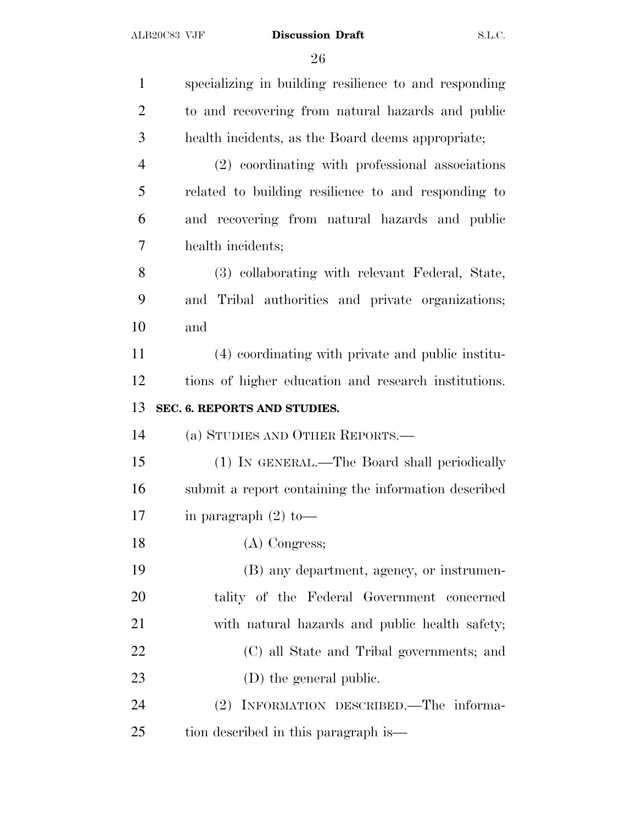| $\mathbf{1}$   | specializing in building resilience to and responding |
|----------------|-------------------------------------------------------|
| $\overline{2}$ | to and recovering from natural hazards and public     |
| 3              | health incidents, as the Board deems appropriate;     |
| $\overline{4}$ | (2) coordinating with professional associations       |
| 5              | related to building resilience to and responding to   |
| 6              | and recovering from natural hazards and public        |
| 7              | health incidents;                                     |
| 8              | (3) collaborating with relevant Federal, State,       |
| 9              | and Tribal authorities and private organizations;     |
| 10             | and                                                   |
| 11             | (4) coordinating with private and public institu-     |
| 12             | tions of higher education and research institutions.  |
| 13             | SEC. 6. REPORTS AND STUDIES.                          |
| 14             | (a) STUDIES AND OTHER REPORTS.—                       |
| 15             | (1) IN GENERAL.—The Board shall periodically          |
| 16             | submit a report containing the information described  |
| 17             | in paragraph $(2)$ to —                               |
| 18             | $(A)$ Congress;                                       |
| 19             | (B) any department, agency, or instrumen-             |
| 20             | tality of the Federal Government concerned            |
| 21             | with natural hazards and public health safety;        |
| 22             | (C) all State and Tribal governments; and             |
| 23             | (D) the general public.                               |
| 24             | (2) INFORMATION DESCRIBED.—The informa-               |
| 25             | tion described in this paragraph is—                  |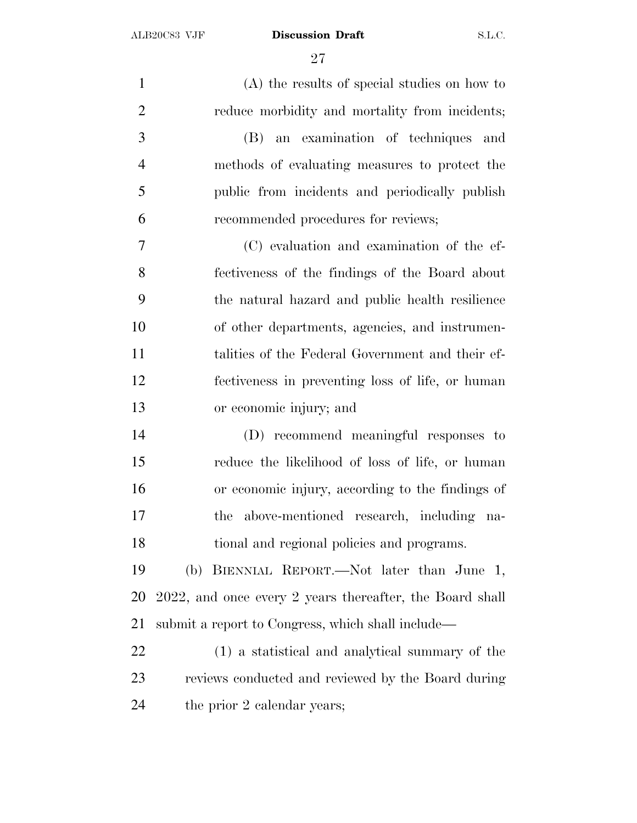(A) the results of special studies on how to reduce morbidity and mortality from incidents; (B) an examination of techniques and methods of evaluating measures to protect the public from incidents and periodically publish recommended procedures for reviews; (C) evaluation and examination of the ef- fectiveness of the findings of the Board about the natural hazard and public health resilience of other departments, agencies, and instrumen- talities of the Federal Government and their ef- fectiveness in preventing loss of life, or human or economic injury; and (D) recommend meaningful responses to reduce the likelihood of loss of life, or human or economic injury, according to the findings of the above-mentioned research, including na- tional and regional policies and programs. (b) BIENNIAL REPORT.—Not later than June 1, 2022, and once every 2 years thereafter, the Board shall submit a report to Congress, which shall include— (1) a statistical and analytical summary of the reviews conducted and reviewed by the Board during the prior 2 calendar years;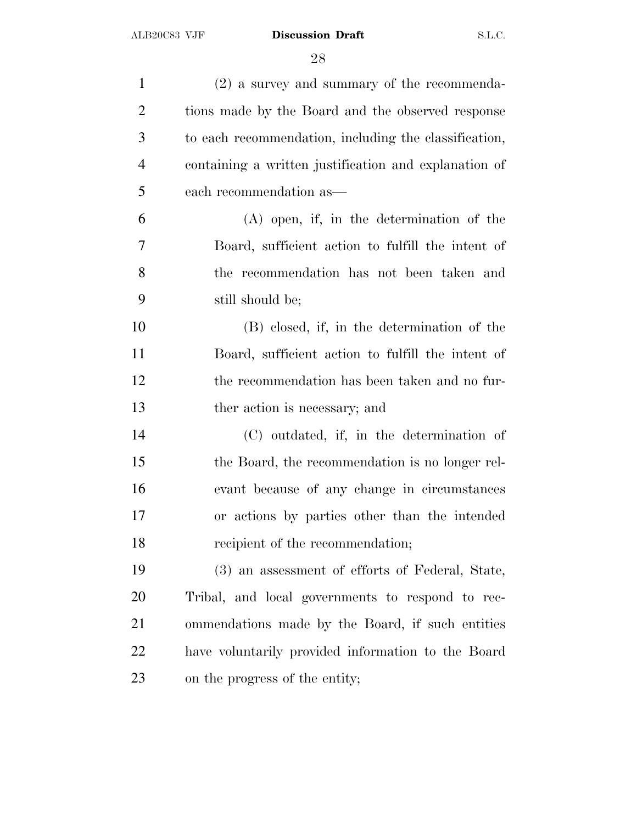| $(2)$ a survey and summary of the recommenda-         |
|-------------------------------------------------------|
| tions made by the Board and the observed response     |
| to each recommendation, including the classification, |
| containing a written justification and explanation of |
| each recommendation as—                               |
| $(A)$ open, if, in the determination of the           |
| Board, sufficient action to fulfill the intent of     |
| the recommendation has not been taken and             |
| still should be;                                      |
| (B) closed, if, in the determination of the           |
| Board, sufficient action to fulfill the intent of     |
| the recommendation has been taken and no fur-         |
| ther action is necessary; and                         |
| (C) outdated, if, in the determination of             |
| the Board, the recommendation is no longer rel-       |
| evant because of any change in circumstances          |
| or actions by parties other than the intended         |
| recipient of the recommendation;                      |
| (3) an assessment of efforts of Federal, State,       |
| Tribal, and local governments to respond to rec-      |
| ommendations made by the Board, if such entities      |
| have voluntarily provided information to the Board    |
| on the progress of the entity;                        |
|                                                       |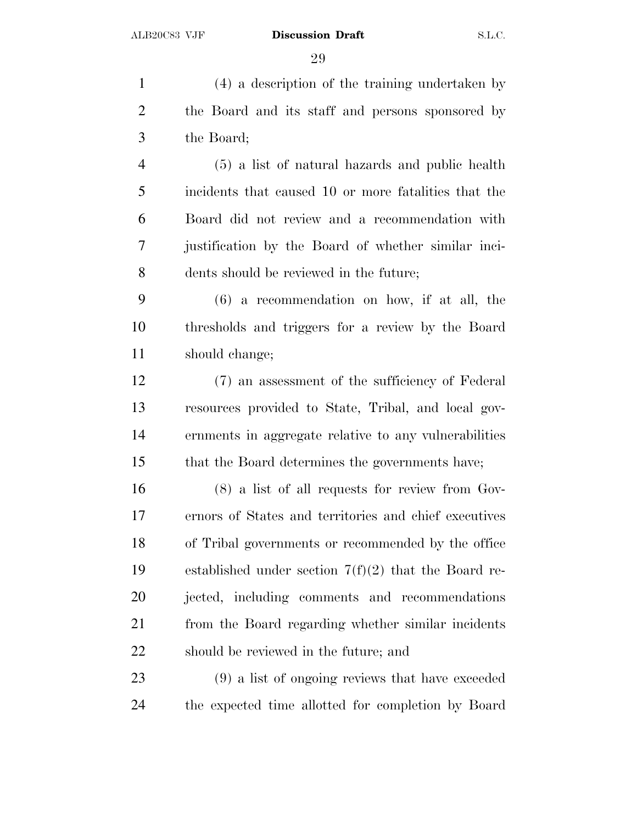(4) a description of the training undertaken by the Board and its staff and persons sponsored by the Board; (5) a list of natural hazards and public health incidents that caused 10 or more fatalities that the Board did not review and a recommendation with justification by the Board of whether similar inci- dents should be reviewed in the future; (6) a recommendation on how, if at all, the thresholds and triggers for a review by the Board should change; (7) an assessment of the sufficiency of Federal resources provided to State, Tribal, and local gov- ernments in aggregate relative to any vulnerabilities that the Board determines the governments have; (8) a list of all requests for review from Gov- ernors of States and territories and chief executives of Tribal governments or recommended by the office established under section 7(f)(2) that the Board re-jected, including comments and recommendations

 from the Board regarding whether similar incidents should be reviewed in the future; and

 (9) a list of ongoing reviews that have exceeded the expected time allotted for completion by Board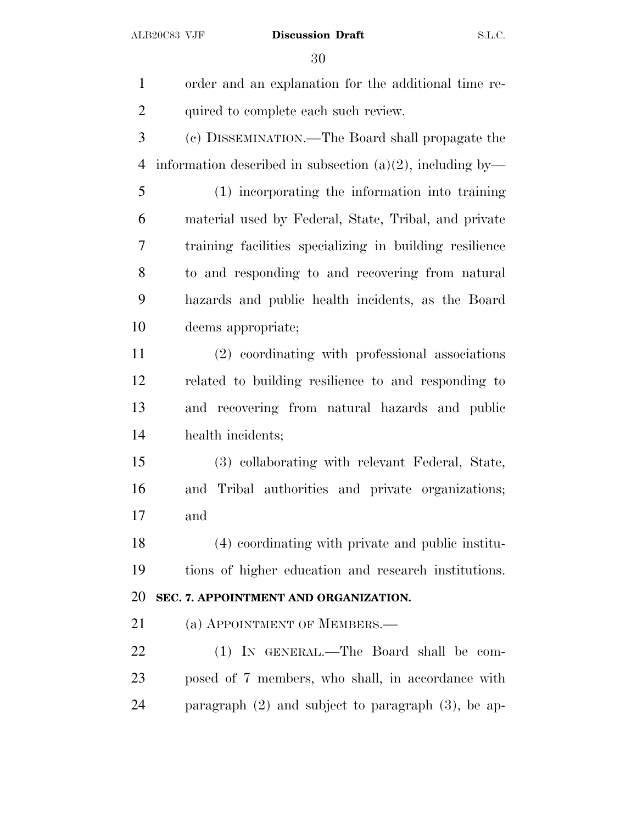| $\mathbf{1}$   | order and an explanation for the additional time re-         |
|----------------|--------------------------------------------------------------|
| $\overline{2}$ | quired to complete each such review.                         |
| 3              | (c) DISSEMINATION.—The Board shall propagate the             |
| $\overline{4}$ | information described in subsection $(a)(2)$ , including by— |
| 5              | (1) incorporating the information into training              |
| 6              | material used by Federal, State, Tribal, and private         |
| 7              | training facilities specializing in building resilience      |
| 8              | to and responding to and recovering from natural             |
| 9              | hazards and public health incidents, as the Board            |
| 10             | deems appropriate;                                           |
| 11             | (2) coordinating with professional associations              |
| 12             | related to building resilience to and responding to          |
| 13             | and recovering from natural hazards and public               |
| 14             | health incidents;                                            |
| 15             | (3) collaborating with relevant Federal, State,              |
| 16             | and Tribal authorities and private organizations;            |
| 17             | and                                                          |
| 18             | (4) coordinating with private and public institu-            |
| 19             | tions of higher education and research institutions.         |
| 20             | SEC. 7. APPOINTMENT AND ORGANIZATION.                        |
| 21             | (a) APPOINTMENT OF MEMBERS.—                                 |
| 22             | (1) IN GENERAL.—The Board shall be com-                      |
| 23             | posed of 7 members, who shall, in accordance with            |
| 24             | paragraph $(2)$ and subject to paragraph $(3)$ , be ap-      |
|                |                                                              |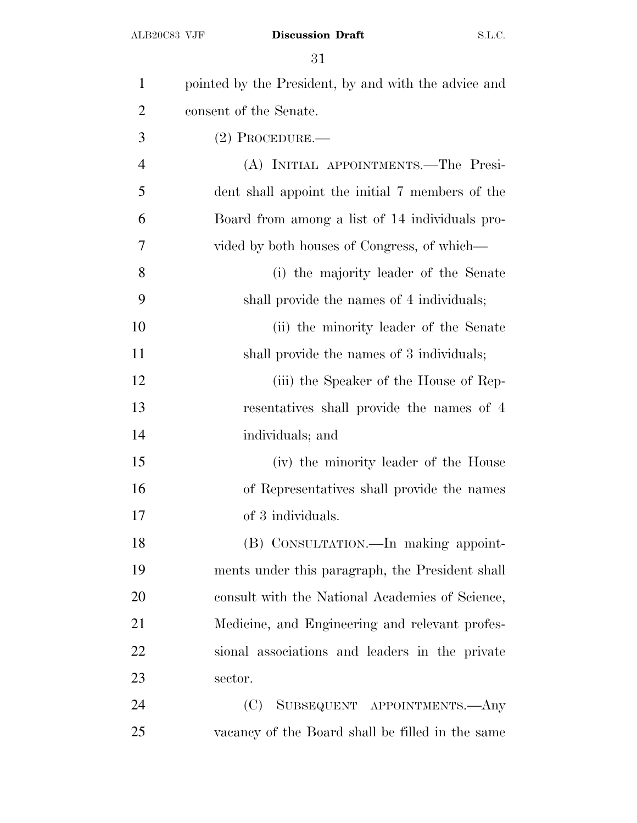| $\mathbf{1}$   | pointed by the President, by and with the advice and |
|----------------|------------------------------------------------------|
| $\overline{2}$ | consent of the Senate.                               |
| 3              | $(2)$ Procedure.—                                    |
| $\overline{4}$ | (A) INITIAL APPOINTMENTS.—The Presi-                 |
| 5              | dent shall appoint the initial 7 members of the      |
| 6              | Board from among a list of 14 individuals pro-       |
| 7              | vided by both houses of Congress, of which—          |
| 8              | (i) the majority leader of the Senate                |
| 9              | shall provide the names of 4 individuals;            |
| 10             | (ii) the minority leader of the Senate               |
| 11             | shall provide the names of 3 individuals;            |
| 12             | (iii) the Speaker of the House of Rep-               |
| 13             | resentatives shall provide the names of 4            |
| 14             | individuals; and                                     |
| 15             | (iv) the minority leader of the House                |
| 16             | of Representatives shall provide the names           |
| 17             | of 3 individuals.                                    |
| 18             | (B) CONSULTATION.—In making appoint-                 |
| 19             | ments under this paragraph, the President shall      |
| 20             | consult with the National Academies of Science,      |
| 21             | Medicine, and Engineering and relevant profes-       |
| 22             | sional associations and leaders in the private       |
| 23             | sector.                                              |
| 24             | SUBSEQUENT APPOINTMENTS.- Any<br>(C)                 |
| 25             | vacancy of the Board shall be filled in the same     |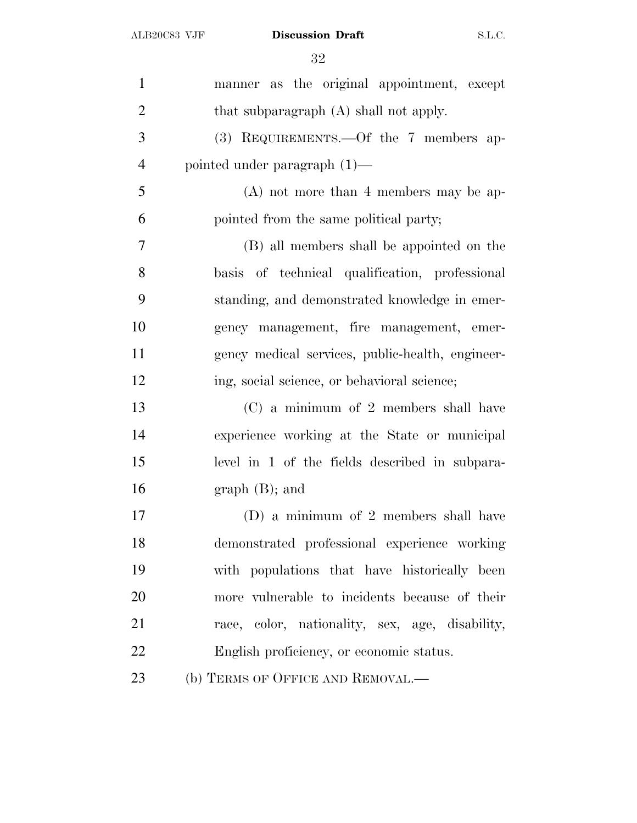| $\mathbf{1}$   | manner as the original appointment, except       |
|----------------|--------------------------------------------------|
| $\overline{2}$ | that subparagraph (A) shall not apply.           |
| 3              | (3) REQUIREMENTS.—Of the 7 members ap-           |
| $\overline{4}$ | pointed under paragraph $(1)$ —                  |
| 5              | $(A)$ not more than 4 members may be ap-         |
| 6              | pointed from the same political party;           |
| 7              | (B) all members shall be appointed on the        |
| 8              | basis of technical qualification, professional   |
| 9              | standing, and demonstrated knowledge in emer-    |
| 10             | gency management, fire management, emer-         |
| 11             | gency medical services, public-health, engineer- |
| 12             | ing, social science, or behavioral science;      |
| 13             | (C) a minimum of 2 members shall have            |
| 14             | experience working at the State or municipal     |
| 15             | level in 1 of the fields described in subpara-   |
| 16             | $graph(B);$ and                                  |
| 17             | (D) a minimum of 2 members shall have            |
| 18             | demonstrated professional experience working     |
| 19             | with populations that have historically been     |
| 20             | more vulnerable to incidents because of their    |
| 21             | race, color, nationality, sex, age, disability,  |
| 22             | English proficiency, or economic status.         |
| 23             | (b) TERMS OF OFFICE AND REMOVAL.-                |
|                |                                                  |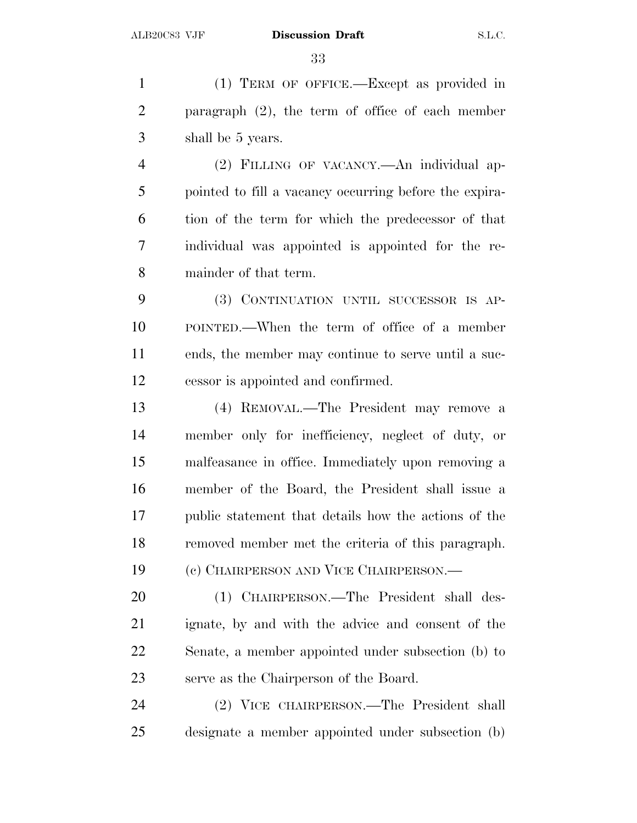(1) TERM OF OFFICE.—Except as provided in paragraph (2), the term of office of each member shall be 5 years.

 (2) FILLING OF VACANCY.—An individual ap- pointed to fill a vacancy occurring before the expira- tion of the term for which the predecessor of that individual was appointed is appointed for the re-mainder of that term.

 (3) CONTINUATION UNTIL SUCCESSOR IS AP- POINTED.—When the term of office of a member ends, the member may continue to serve until a suc-cessor is appointed and confirmed.

 (4) REMOVAL.—The President may remove a member only for inefficiency, neglect of duty, or malfeasance in office. Immediately upon removing a member of the Board, the President shall issue a public statement that details how the actions of the removed member met the criteria of this paragraph. (c) CHAIRPERSON AND VICE CHAIRPERSON.—

 (1) CHAIRPERSON.—The President shall des- ignate, by and with the advice and consent of the Senate, a member appointed under subsection (b) to serve as the Chairperson of the Board.

 (2) VICE CHAIRPERSON.—The President shall designate a member appointed under subsection (b)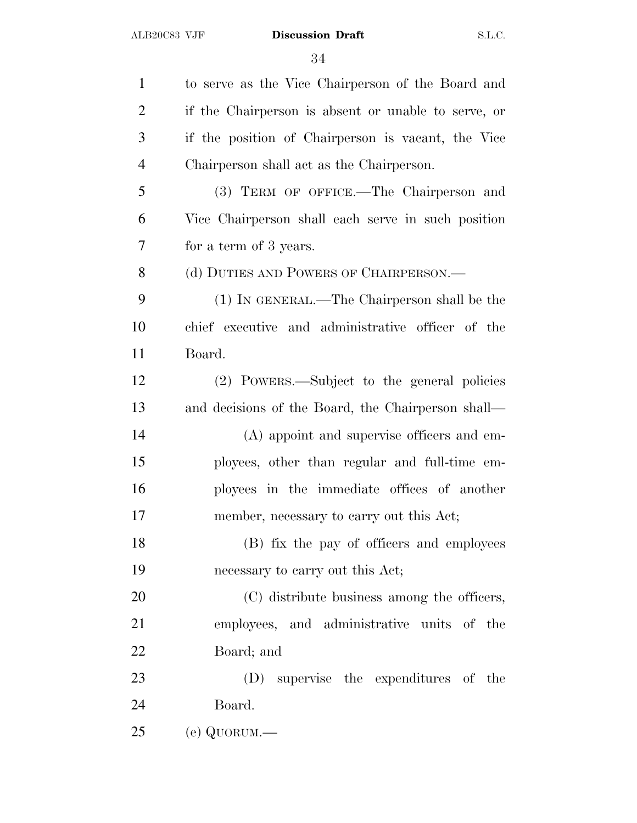| $\mathbf{1}$   | to serve as the Vice Chairperson of the Board and   |
|----------------|-----------------------------------------------------|
| $\overline{2}$ | if the Chairperson is absent or unable to serve, or |
| 3              | if the position of Chairperson is vacant, the Vice  |
| $\overline{4}$ | Chairperson shall act as the Chairperson.           |
| 5              | (3) TERM OF OFFICE.—The Chairperson and             |
| 6              | Vice Chairperson shall each serve in such position  |
| 7              | for a term of 3 years.                              |
| 8              | (d) DUTIES AND POWERS OF CHAIRPERSON.—              |
| 9              | (1) IN GENERAL.—The Chairperson shall be the        |
| 10             | chief executive and administrative officer of the   |
| 11             | Board.                                              |
| 12             | (2) POWERS.—Subject to the general policies         |
| 13             | and decisions of the Board, the Chairperson shall—  |
| 14             | (A) appoint and supervise officers and em-          |
| 15             | ployees, other than regular and full-time em-       |
| 16             | ployees in the immediate offices of another         |
| 17             | member, necessary to carry out this Act;            |
| 18             | (B) fix the pay of officers and employees           |
| 19             | necessary to carry out this Act;                    |
| 20             | (C) distribute business among the officers,         |
| 21             | employees, and administrative units of the          |
| 22             | Board; and                                          |
| 23             | supervise the expenditures of the<br>(D)            |
| 24             | Board.                                              |
| 25             | (e) QUORUM.—                                        |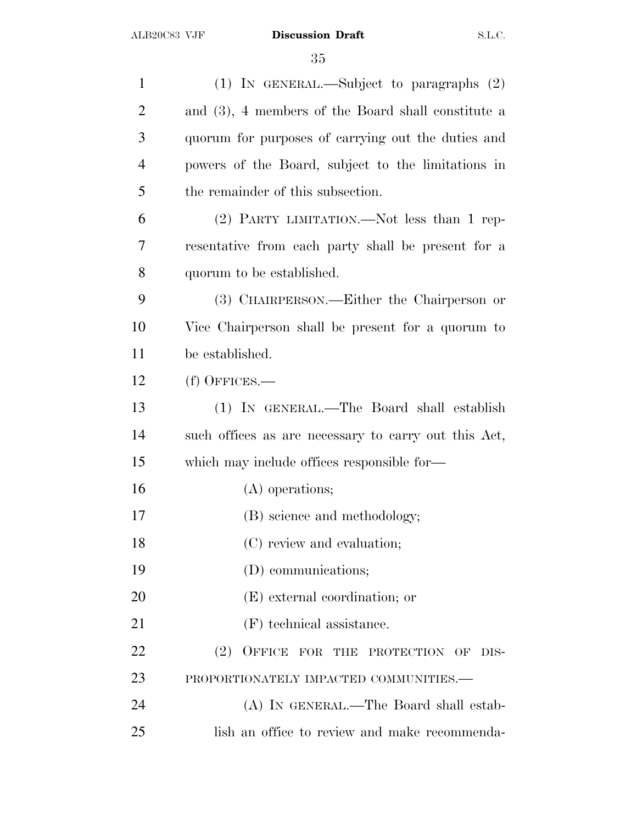| $\mathbf{1}$   | (1) IN GENERAL.—Subject to paragraphs $(2)$          |
|----------------|------------------------------------------------------|
| $\overline{2}$ | and (3), 4 members of the Board shall constitute a   |
| 3              | quorum for purposes of carrying out the duties and   |
| $\overline{4}$ | powers of the Board, subject to the limitations in   |
| 5              | the remainder of this subsection.                    |
| 6              | (2) PARTY LIMITATION.—Not less than 1 rep-           |
| 7              | resentative from each party shall be present for a   |
| 8              | quorum to be established.                            |
| 9              | (3) CHAIRPERSON.—Either the Chairperson or           |
| 10             | Vice Chairperson shall be present for a quorum to    |
| 11             | be established.                                      |
| 12             | $(f)$ OFFICES.—                                      |
| 13             | (1) IN GENERAL.—The Board shall establish            |
| 14             | such offices as are necessary to carry out this Act, |
| 15             | which may include offices responsible for—           |
| 16             | (A) operations;                                      |
| 17             | (B) science and methodology;                         |
| 18             | (C) review and evaluation;                           |
| 19             | (D) communications;                                  |
| 20             | (E) external coordination; or                        |
| 21             | (F) technical assistance.                            |
| 22             | (2)<br>OFFICE FOR THE PROTECTION OF<br>DIS-          |
| 23             | PROPORTIONATELY IMPACTED COMMUNITIES.-               |
| 24             | (A) IN GENERAL.—The Board shall estab-               |
| 25             | lish an office to review and make recommenda-        |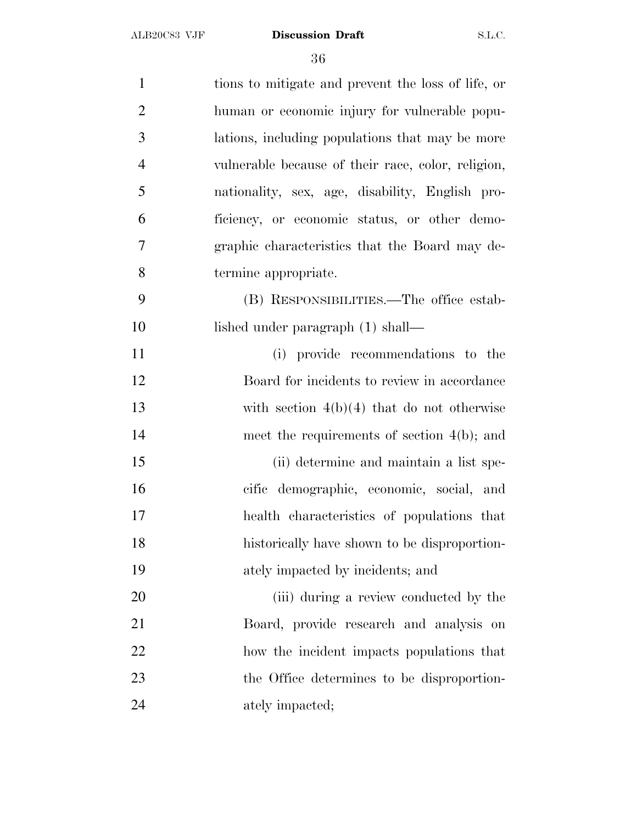| $\mathbf{1}$   | tions to mitigate and prevent the loss of life, or |
|----------------|----------------------------------------------------|
| $\overline{2}$ | human or economic injury for vulnerable popu-      |
| 3              | lations, including populations that may be more    |
| $\overline{4}$ | vulnerable because of their race, color, religion, |
| 5              | nationality, sex, age, disability, English pro-    |
| 6              | ficiency, or economic status, or other demo-       |
| 7              | graphic characteristics that the Board may de-     |
| 8              | termine appropriate.                               |
| 9              | (B) RESPONSIBILITIES.—The office estab-            |
| 10             | lished under paragraph (1) shall—                  |
| 11             | (i) provide recommendations to the                 |
| 12             | Board for incidents to review in accordance        |
| 13             | with section $4(b)(4)$ that do not otherwise       |
| 14             | meet the requirements of section $4(b)$ ; and      |
| 15             | (ii) determine and maintain a list spe-            |
| 16             | cific demographic, economic, social, and           |
| 17             | health characteristics of populations that         |
| 18             | historically have shown to be disproportion-       |
| 19             | ately impacted by incidents; and                   |
| 20             | (iii) during a review conducted by the             |
| 21             | Board, provide research and analysis on            |
| 22             | how the incident impacts populations that          |
| 23             | the Office determines to be disproportion-         |
| 24             | ately impacted;                                    |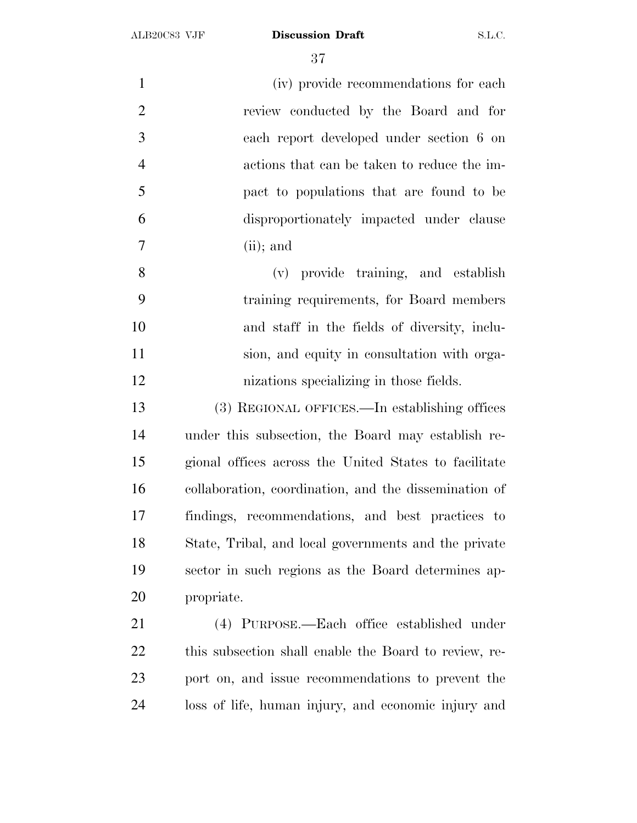| $\mathbf{1}$   | (iv) provide recommendations for each                 |
|----------------|-------------------------------------------------------|
| $\overline{2}$ | review conducted by the Board and for                 |
| 3              | each report developed under section 6 on              |
| $\overline{4}$ | actions that can be taken to reduce the im-           |
| 5              | pact to populations that are found to be              |
| 6              | disproportionately impacted under clause              |
| $\overline{7}$ | $(ii)$ ; and                                          |
| 8              | (v) provide training, and establish                   |
| 9              | training requirements, for Board members              |
| 10             | and staff in the fields of diversity, inclu-          |
| 11             | sion, and equity in consultation with orga-           |
| 12             | nizations specializing in those fields.               |
| 13             | (3) REGIONAL OFFICES.—In establishing offices         |
| 14             | under this subsection, the Board may establish re-    |
| 15             | gional offices across the United States to facilitate |
| 16             | collaboration, coordination, and the dissemination of |
| 17             | findings, recommendations, and best practices to      |
| 18             | State, Tribal, and local governments and the private  |
| 19             | sector in such regions as the Board determines ap-    |
| 20             | propriate.                                            |
| 21             | (4) PURPOSE.—Each office established under            |
| 22             | this subsection shall enable the Board to review, re- |
| 23             | port on, and issue recommendations to prevent the     |

loss of life, human injury, and economic injury and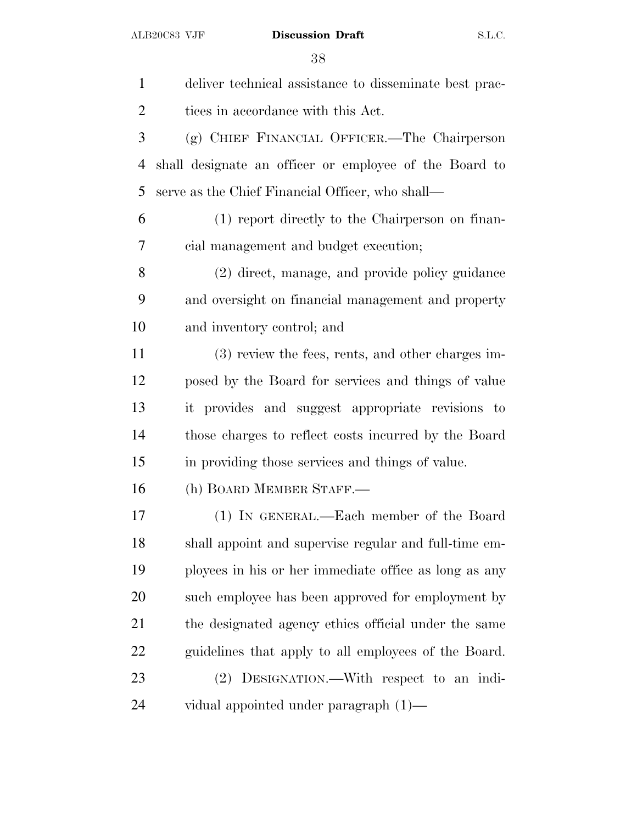| $\mathbf{1}$   | deliver technical assistance to disseminate best prac- |
|----------------|--------------------------------------------------------|
| $\overline{2}$ | tices in accordance with this Act.                     |
| 3              | (g) CHIEF FINANCIAL OFFICER.—The Chairperson           |
| $\overline{4}$ | shall designate an officer or employee of the Board to |
| 5              | serve as the Chief Financial Officer, who shall—       |
| 6              | (1) report directly to the Chairperson on finan-       |
| 7              | cial management and budget execution;                  |
| 8              | (2) direct, manage, and provide policy guidance        |
| 9              | and oversight on financial management and property     |
| 10             | and inventory control; and                             |
| 11             | (3) review the fees, rents, and other charges im-      |
| 12             | posed by the Board for services and things of value    |
| 13             | it provides and suggest appropriate revisions to       |
| 14             | those charges to reflect costs incurred by the Board   |
| 15             | in providing those services and things of value.       |
| 16             | (h) BOARD MEMBER STAFF.                                |
| 17             | (1) IN GENERAL.—Each member of the Board               |
| 18             | shall appoint and supervise regular and full-time em-  |
| 19             | ployees in his or her immediate office as long as any  |
| 20             | such employee has been approved for employment by      |
| 21             | the designated agency ethics official under the same   |
| 22             | guidelines that apply to all employees of the Board.   |
| 23             | (2) DESIGNATION.—With respect to an indi-              |
| 24             | vidual appointed under paragraph $(1)$ —               |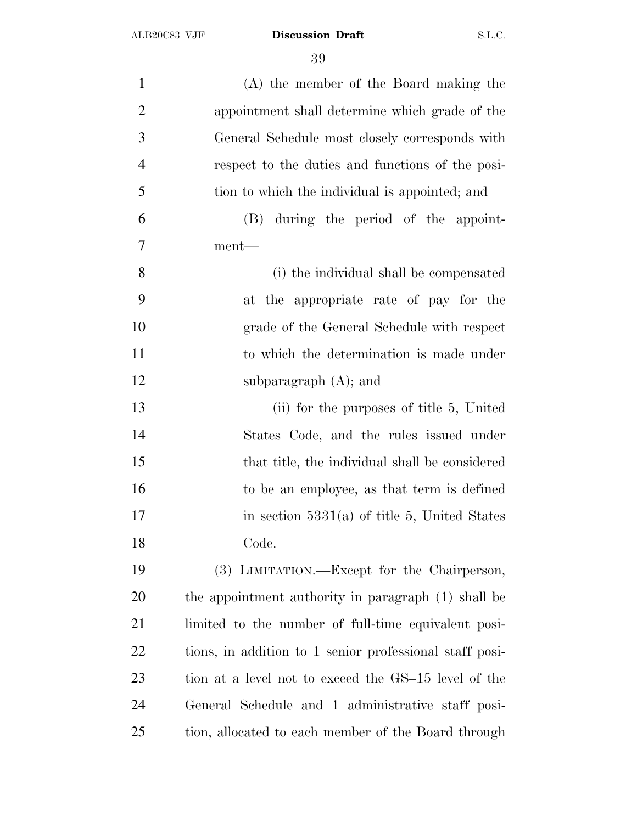| $\mathbf{1}$   | (A) the member of the Board making the                  |
|----------------|---------------------------------------------------------|
| $\overline{2}$ | appointment shall determine which grade of the          |
| 3              | General Schedule most closely corresponds with          |
| $\overline{4}$ | respect to the duties and functions of the posi-        |
| 5              | tion to which the individual is appointed; and          |
| 6              | (B) during the period of the appoint-                   |
| 7              | ment—                                                   |
| 8              | (i) the individual shall be compensated                 |
| 9              | at the appropriate rate of pay for the                  |
| 10             | grade of the General Schedule with respect              |
| 11             | to which the determination is made under                |
| 12             | subparagraph $(A)$ ; and                                |
| 13             | (ii) for the purposes of title 5, United                |
| 14             | States Code, and the rules issued under                 |
| 15             | that title, the individual shall be considered          |
| 16             | to be an employee, as that term is defined              |
| 17             | in section $5331(a)$ of title 5, United States          |
| 18             | Code.                                                   |
| 19             | (3) LIMITATION.—Except for the Chairperson,             |
| 20             | the appointment authority in paragraph (1) shall be     |
| 21             | limited to the number of full-time equivalent posi-     |
| 22             | tions, in addition to 1 senior professional staff posi- |
| 23             | tion at a level not to exceed the GS-15 level of the    |
| 24             | General Schedule and 1 administrative staff posi-       |
| 25             | tion, allocated to each member of the Board through     |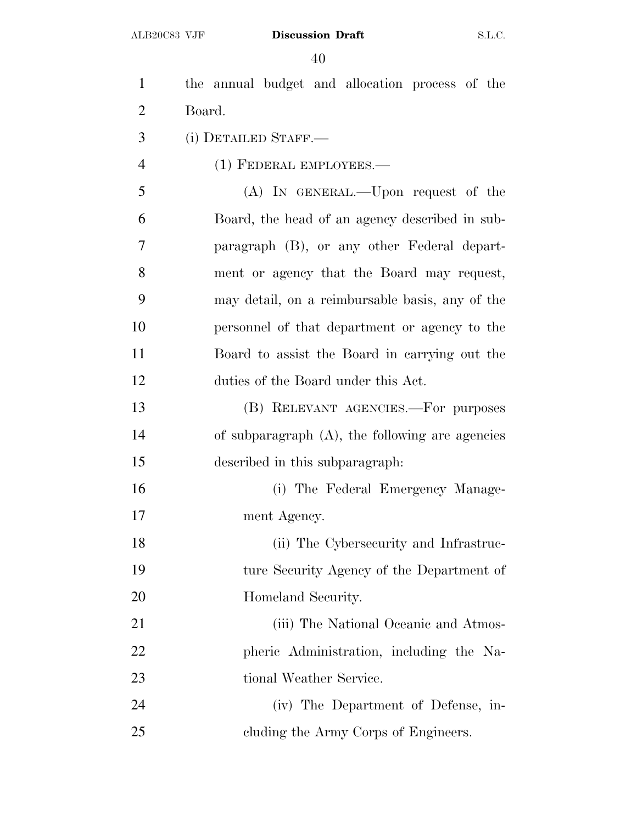| $\mathbf{1}$   | the annual budget and allocation process of the    |
|----------------|----------------------------------------------------|
| $\overline{2}$ | Board.                                             |
| 3              | (i) DETAILED STAFF.—                               |
| $\overline{4}$ | (1) FEDERAL EMPLOYEES.—                            |
| 5              | (A) IN GENERAL.—Upon request of the                |
| 6              | Board, the head of an agency described in sub-     |
| 7              | paragraph (B), or any other Federal depart-        |
| 8              | ment or agency that the Board may request,         |
| 9              | may detail, on a reimbursable basis, any of the    |
| 10             | personnel of that department or agency to the      |
| 11             | Board to assist the Board in carrying out the      |
| 12             | duties of the Board under this Act.                |
| 13             | (B) RELEVANT AGENCIES.—For purposes                |
| 14             | of subparagraph $(A)$ , the following are agencies |
| 15             | described in this subparagraph.                    |
| 16             | (i) The Federal Emergency Manage-                  |
| 17             | ment Agency.                                       |
| 18             | (ii) The Cybersecurity and Infrastruc-             |
| 19             | ture Security Agency of the Department of          |
| 20             | Homeland Security.                                 |
| 21             | (iii) The National Oceanic and Atmos-              |
| 22             | pheric Administration, including the Na-           |
| 23             | tional Weather Service.                            |
| 24             | (iv) The Department of Defense, in-                |
| 25             | cluding the Army Corps of Engineers.               |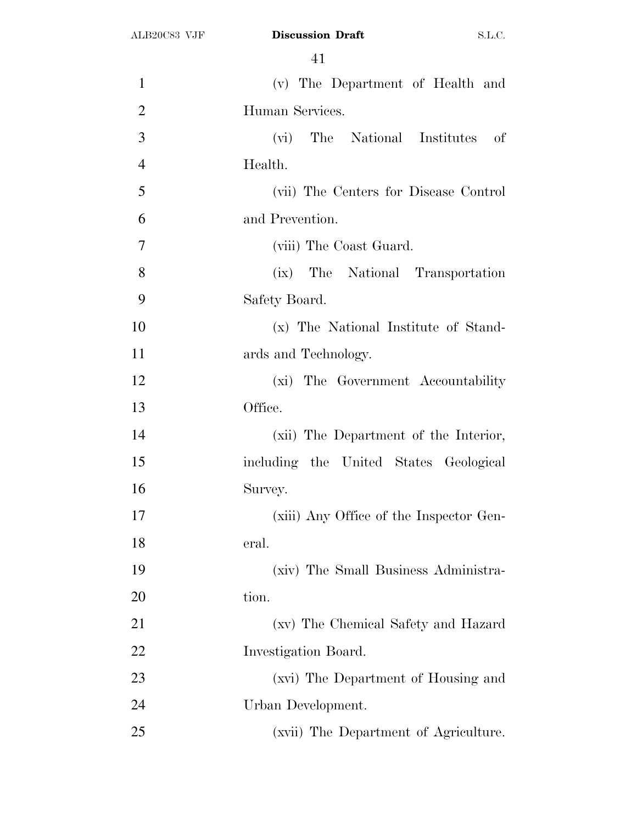| $\mathbf{1}$   | (v) The Department of Health and                         |
|----------------|----------------------------------------------------------|
| $\overline{2}$ | Human Services.                                          |
| 3              | The National Institutes of<br>$(\overline{\mathrm{vi}})$ |
| $\overline{4}$ | Health.                                                  |
| 5              | (vii) The Centers for Disease Control                    |
| 6              | and Prevention.                                          |
| 7              | (viii) The Coast Guard.                                  |
| 8              | (ix) The National Transportation                         |
| 9              | Safety Board.                                            |
| 10             | (x) The National Institute of Stand-                     |
| 11             | ards and Technology.                                     |
| 12             | (xi) The Government Accountability                       |
| 13             | Office.                                                  |
| 14             | (xii) The Department of the Interior,                    |
| 15             | including the United States Geological                   |
| 16             | Survey.                                                  |
| 17             | (xiii) Any Office of the Inspector Gen-                  |
| 18             | eral.                                                    |
| 19             | (xiv) The Small Business Administra-                     |
| 20             | tion.                                                    |
| 21             | (xv) The Chemical Safety and Hazard                      |
| 22             | Investigation Board.                                     |
| 23             | (xvi) The Department of Housing and                      |
| 24             | Urban Development.                                       |
| 25             | (xvii) The Department of Agriculture.                    |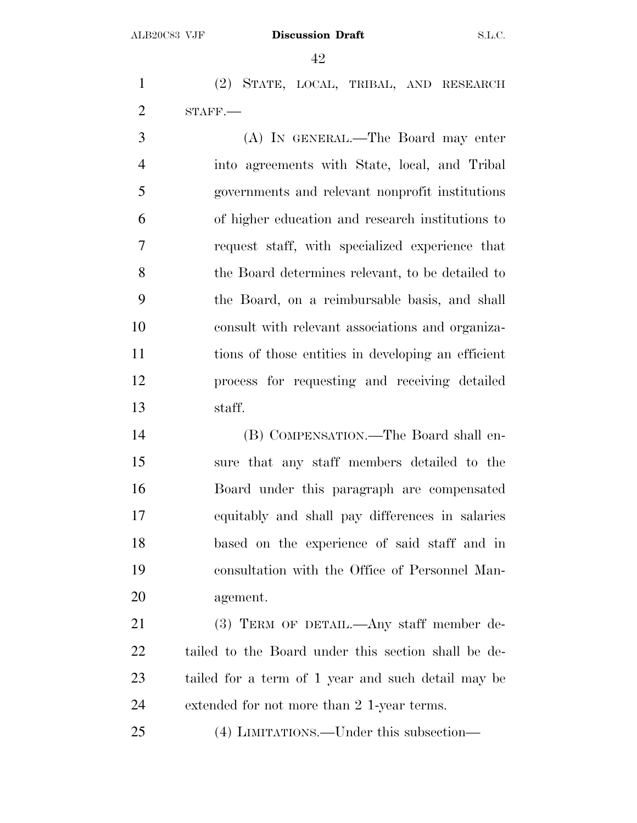(2) STATE, LOCAL, TRIBAL, AND RESEARCH STAFF.—

 (A) IN GENERAL.—The Board may enter into agreements with State, local, and Tribal governments and relevant nonprofit institutions of higher education and research institutions to request staff, with specialized experience that the Board determines relevant, to be detailed to the Board, on a reimbursable basis, and shall consult with relevant associations and organiza- tions of those entities in developing an efficient process for requesting and receiving detailed staff.

 (B) COMPENSATION.—The Board shall en- sure that any staff members detailed to the Board under this paragraph are compensated equitably and shall pay differences in salaries based on the experience of said staff and in consultation with the Office of Personnel Man-agement.

 (3) TERM OF DETAIL.—Any staff member de- tailed to the Board under this section shall be de- tailed for a term of 1 year and such detail may be extended for not more than 2 1-year terms.

(4) LIMITATIONS.—Under this subsection—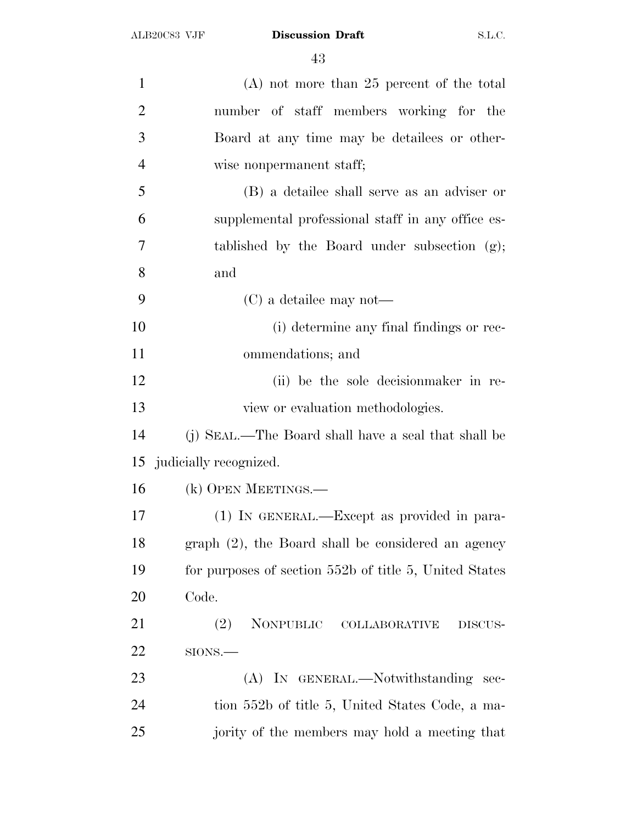| $\mathbf{1}$   | $(A)$ not more than 25 percent of the total            |
|----------------|--------------------------------------------------------|
| $\overline{2}$ | number of staff members working for the                |
| 3              | Board at any time may be detailees or other-           |
| 4              | wise nonpermanent staff;                               |
| 5              | (B) a detailee shall serve as an adviser or            |
| 6              | supplemental professional staff in any office es-      |
| 7              | tablished by the Board under subsection (g);           |
| 8              | and                                                    |
| 9              | $(C)$ a detailee may not—                              |
| 10             | (i) determine any final findings or rec-               |
| 11             | ommendations; and                                      |
| 12             | (ii) be the sole decision maker in re-                 |
| 13             | view or evaluation methodologies.                      |
| 14             | (j) SEAL.—The Board shall have a seal that shall be    |
| 15             | judicially recognized.                                 |
| 16             | (k) OPEN MEETINGS.—                                    |
| 17             | $(1)$ In GENERAL.—Except as provided in para-          |
| 18             | graph (2), the Board shall be considered an agency     |
| 19             | for purposes of section 552b of title 5, United States |
| 20             | Code.                                                  |
| 21             | NONPUBLIC COLLABORATIVE<br>(2)<br>DISCUS-              |
| 22             | $SIONS$ .                                              |
| 23             | (A) IN GENERAL.—Notwithstanding sec-                   |
| 24             | tion 552b of title 5, United States Code, a ma-        |
| 25             | jority of the members may hold a meeting that          |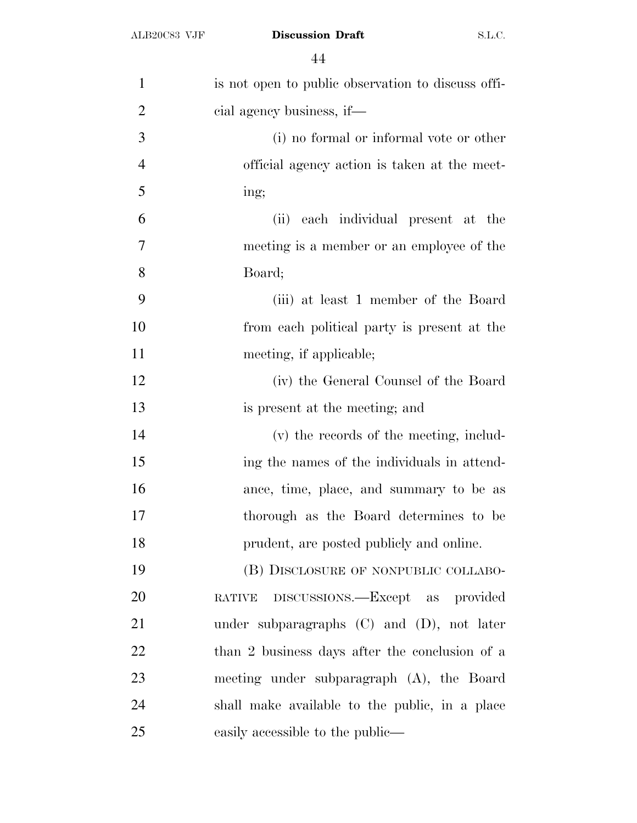| $\mathbf{1}$   | is not open to public observation to discuss offi- |
|----------------|----------------------------------------------------|
| $\overline{2}$ | cial agency business, if—                          |
| 3              | (i) no formal or informal vote or other            |
| $\overline{4}$ | official agency action is taken at the meet-       |
| 5              | ing;                                               |
| 6              | (ii) each individual present at the                |
| 7              | meeting is a member or an employee of the          |
| 8              | Board;                                             |
| 9              | (iii) at least 1 member of the Board               |
| 10             | from each political party is present at the        |
| 11             | meeting, if applicable;                            |
| 12             | (iv) the General Counsel of the Board              |
| 13             | is present at the meeting; and                     |
| 14             | (v) the records of the meeting, includ-            |
| 15             | ing the names of the individuals in attend-        |
| 16             | ance, time, place, and summary to be as            |
| 17             | thorough as the Board determines to be             |
| 18             | prudent, are posted publicly and online.           |
| 19             | (B) DISCLOSURE OF NONPUBLIC COLLABO-               |
| 20             | DISCUSSIONS.—Except as provided<br><b>RATIVE</b>   |
| 21             | under subparagraphs $(C)$ and $(D)$ , not later    |
| 22             | than 2 business days after the conclusion of a     |
| 23             | meeting under subparagraph (A), the Board          |
| 24             | shall make available to the public, in a place     |
| 25             | easily accessible to the public—                   |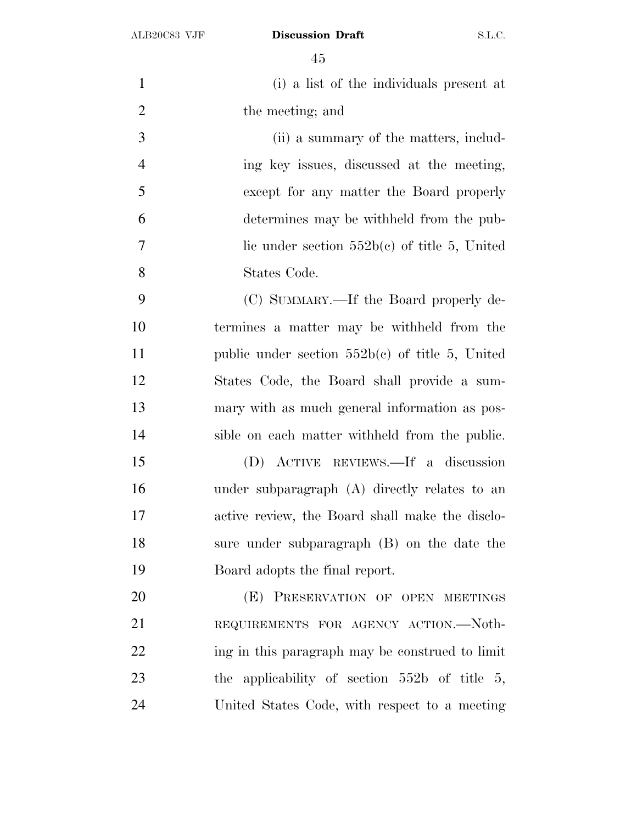| $\mathbf{1}$   | (i) a list of the individuals present at          |
|----------------|---------------------------------------------------|
| $\mathfrak{2}$ | the meeting; and                                  |
| 3              | (ii) a summary of the matters, includ-            |
|                |                                                   |
| $\overline{4}$ | ing key issues, discussed at the meeting,         |
| 5              | except for any matter the Board properly          |
| 6              | determines may be withheld from the pub-          |
| $\tau$         | lic under section $552b(c)$ of title 5, United    |
| 8              | States Code.                                      |
| 9              | (C) SUMMARY.—If the Board properly de-            |
| 10             | termines a matter may be withheld from the        |
| 11             | public under section $552b(c)$ of title 5, United |
| 12             | States Code, the Board shall provide a sum-       |
| 13             | mary with as much general information as pos-     |
| 14             | sible on each matter withheld from the public.    |
| 15             | (D) ACTIVE REVIEWS.—If a discussion               |
| 16             | under subparagraph $(A)$ directly relates to an   |
| 17             | active review, the Board shall make the disclo-   |
| 18             | sure under subparagraph $(B)$ on the date the     |
| 19             | Board adopts the final report.                    |
| 20             | (E) PRESERVATION OF OPEN MEETINGS                 |
| 21             | REQUIREMENTS FOR AGENCY ACTION.-Noth-             |
| 22             | ing in this paragraph may be construed to limit   |
| 23             | the applicability of section $552b$ of title 5,   |
| 24             | United States Code, with respect to a meeting     |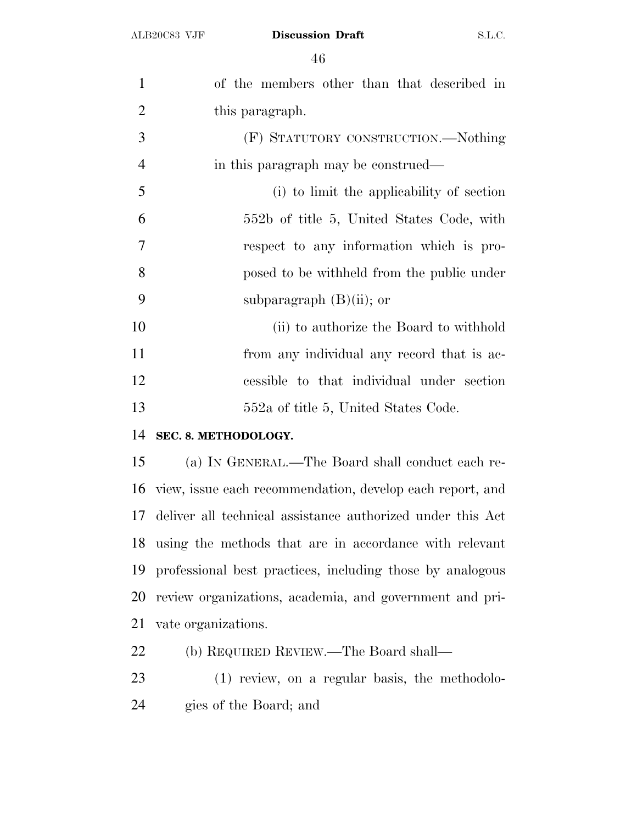| $\mathbf{1}$   | of the members other than that described in                     |
|----------------|-----------------------------------------------------------------|
| $\overline{2}$ | this paragraph.                                                 |
| 3              | (F) STATUTORY CONSTRUCTION.—Nothing                             |
| $\overline{4}$ | in this paragraph may be construed—                             |
| 5              | (i) to limit the applicability of section                       |
| 6              | 552b of title 5, United States Code, with                       |
| $\overline{7}$ | respect to any information which is pro-                        |
| 8              | posed to be withheld from the public under                      |
| 9              | subparagraph $(B)(ii)$ ; or                                     |
| 10             | (ii) to authorize the Board to withhold                         |
| 11             | from any individual any record that is ac-                      |
| 12             | cessible to that individual under section                       |
| 13             | 552a of title 5, United States Code.                            |
| 14             | SEC. 8. METHODOLOGY.                                            |
| 15             | (a) IN GENERAL.—The Board shall conduct each re-                |
|                | 16 - Jan James saak maanuman kaling - kanakan saak menjadi jauh |

 view, issue each recommendation, develop each report, and deliver all technical assistance authorized under this Act using the methods that are in accordance with relevant professional best practices, including those by analogous review organizations, academia, and government and pri-vate organizations.

(b) REQUIRED REVIEW.—The Board shall—

 (1) review, on a regular basis, the methodolo-gies of the Board; and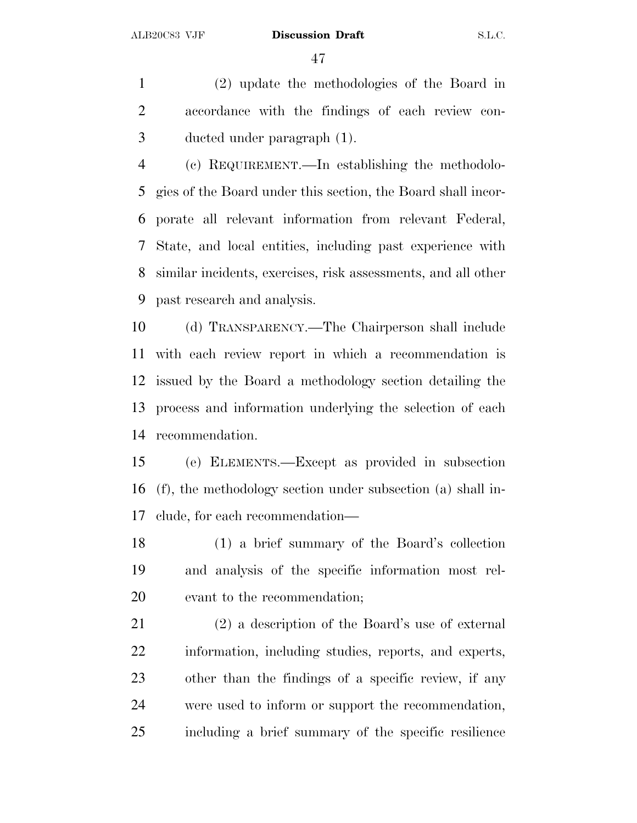(2) update the methodologies of the Board in accordance with the findings of each review con-ducted under paragraph (1).

 (c) REQUIREMENT.—In establishing the methodolo- gies of the Board under this section, the Board shall incor- porate all relevant information from relevant Federal, State, and local entities, including past experience with similar incidents, exercises, risk assessments, and all other past research and analysis.

 (d) TRANSPARENCY.—The Chairperson shall include with each review report in which a recommendation is issued by the Board a methodology section detailing the process and information underlying the selection of each recommendation.

 (e) ELEMENTS.—Except as provided in subsection (f), the methodology section under subsection (a) shall in-clude, for each recommendation—

 (1) a brief summary of the Board's collection and analysis of the specific information most rel-evant to the recommendation;

 (2) a description of the Board's use of external information, including studies, reports, and experts, other than the findings of a specific review, if any were used to inform or support the recommendation, including a brief summary of the specific resilience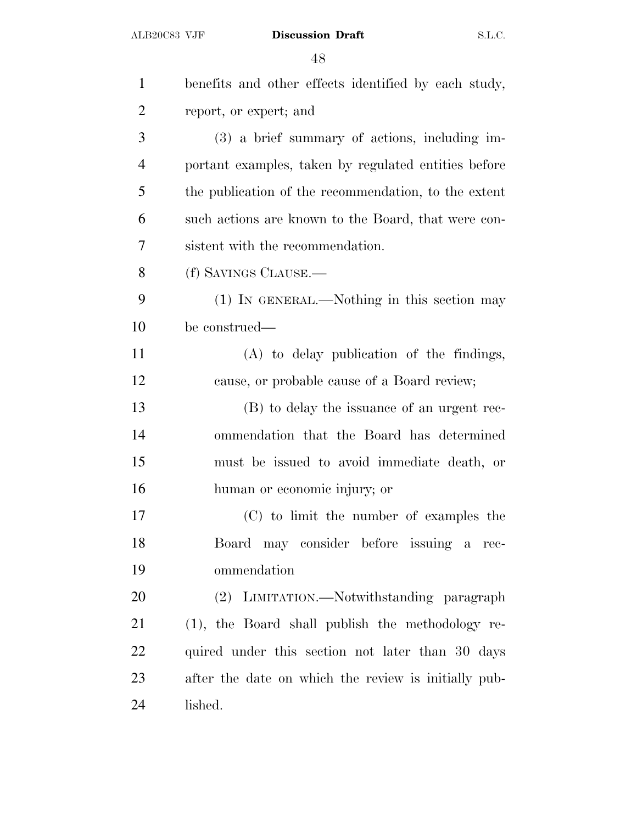| $\mathbf{1}$   | benefits and other effects identified by each study, |
|----------------|------------------------------------------------------|
| $\overline{2}$ | report, or expert; and                               |
| 3              | (3) a brief summary of actions, including im-        |
| $\overline{4}$ | portant examples, taken by regulated entities before |
| 5              | the publication of the recommendation, to the extent |
| 6              | such actions are known to the Board, that were con-  |
| 7              | sistent with the recommendation.                     |
| 8              | (f) SAVINGS CLAUSE.—                                 |
| 9              | (1) IN GENERAL.—Nothing in this section may          |
| 10             | be construed—                                        |
| 11             | (A) to delay publication of the findings,            |
| 12             | cause, or probable cause of a Board review;          |
| 13             | (B) to delay the issuance of an urgent rec-          |
| 14             | ommendation that the Board has determined            |
| 15             | must be issued to avoid immediate death, or          |
| 16             | human or economic injury; or                         |
| 17             | (C) to limit the number of examples the              |
| 18             | Board may consider before issuing a rec-             |
| 19             | ommendation                                          |
| 20             | (2) LIMITATION.—Notwithstanding paragraph            |
| 21             | (1), the Board shall publish the methodology re-     |
| 22             | quired under this section not later than 30 days     |
| 23             | after the date on which the review is initially pub- |
| 24             | lished.                                              |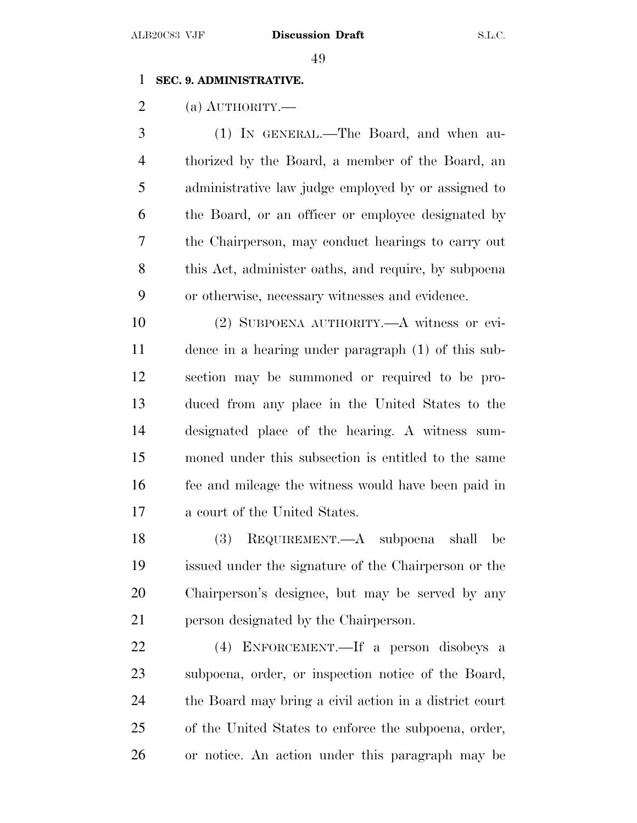## **SEC. 9. ADMINISTRATIVE.**

(a) AUTHORITY.—

 (1) IN GENERAL.—The Board, and when au- thorized by the Board, a member of the Board, an administrative law judge employed by or assigned to the Board, or an officer or employee designated by the Chairperson, may conduct hearings to carry out this Act, administer oaths, and require, by subpoena or otherwise, necessary witnesses and evidence.

 (2) SUBPOENA AUTHORITY.—A witness or evi- dence in a hearing under paragraph (1) of this sub- section may be summoned or required to be pro- duced from any place in the United States to the designated place of the hearing. A witness sum- moned under this subsection is entitled to the same fee and mileage the witness would have been paid in a court of the United States.

 (3) REQUIREMENT.—A subpoena shall be issued under the signature of the Chairperson or the Chairperson's designee, but may be served by any person designated by the Chairperson.

 (4) ENFORCEMENT.—If a person disobeys a subpoena, order, or inspection notice of the Board, the Board may bring a civil action in a district court of the United States to enforce the subpoena, order, or notice. An action under this paragraph may be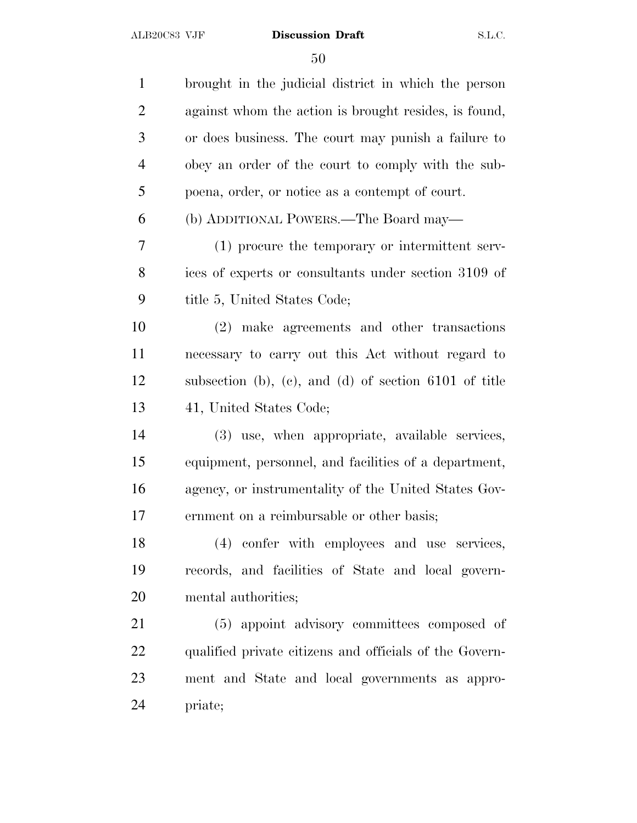| brought in the judicial district in which the person    |
|---------------------------------------------------------|
| against whom the action is brought resides, is found,   |
| or does business. The court may punish a failure to     |
| obey an order of the court to comply with the sub-      |
| poena, order, or notice as a contempt of court.         |
| (b) ADDITIONAL POWERS.—The Board may—                   |
| (1) procure the temporary or intermittent serv-         |
| ices of experts or consultants under section 3109 of    |
| title 5, United States Code;                            |
| (2) make agreements and other transactions              |
| necessary to carry out this Act without regard to       |
| subsection (b), (c), and (d) of section $6101$ of title |
| 41, United States Code;                                 |
| (3) use, when appropriate, available services,          |
| equipment, personnel, and facilities of a department,   |
| agency, or instrumentality of the United States Gov-    |
| ernment on a reimbursable or other basis;               |
| (4) confer with employees and use services,             |
| records, and facilities of State and local govern-      |
| mental authorities;                                     |
| (5) appoint advisory committees composed of             |
| qualified private citizens and officials of the Govern- |
| ment and State and local governments as appro-          |
| priate;                                                 |
|                                                         |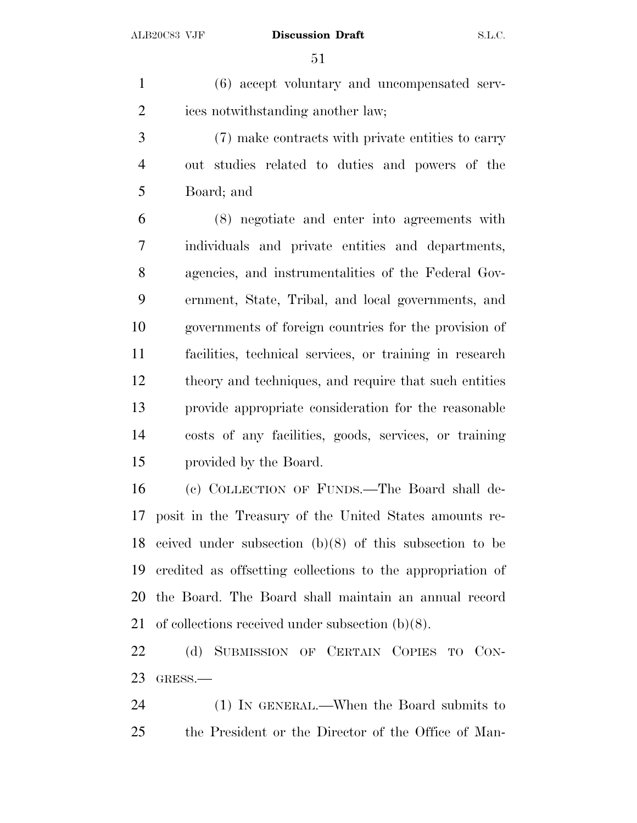(6) accept voluntary and uncompensated serv-ices notwithstanding another law;

 (7) make contracts with private entities to carry out studies related to duties and powers of the Board; and

 (8) negotiate and enter into agreements with individuals and private entities and departments, agencies, and instrumentalities of the Federal Gov- ernment, State, Tribal, and local governments, and governments of foreign countries for the provision of facilities, technical services, or training in research theory and techniques, and require that such entities provide appropriate consideration for the reasonable costs of any facilities, goods, services, or training provided by the Board.

 (c) COLLECTION OF FUNDS.—The Board shall de- posit in the Treasury of the United States amounts re- ceived under subsection (b)(8) of this subsection to be credited as offsetting collections to the appropriation of the Board. The Board shall maintain an annual record of collections received under subsection (b)(8).

 (d) SUBMISSION OF CERTAIN COPIES TO CON-GRESS.—

 (1) IN GENERAL.—When the Board submits to the President or the Director of the Office of Man-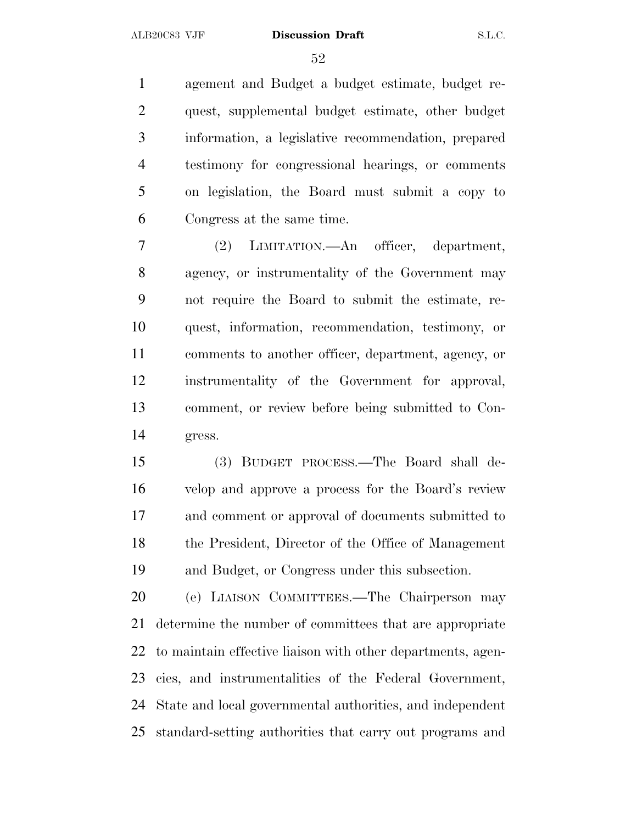agement and Budget a budget estimate, budget re- quest, supplemental budget estimate, other budget information, a legislative recommendation, prepared testimony for congressional hearings, or comments on legislation, the Board must submit a copy to Congress at the same time.

 (2) LIMITATION.—An officer, department, agency, or instrumentality of the Government may not require the Board to submit the estimate, re- quest, information, recommendation, testimony, or comments to another officer, department, agency, or instrumentality of the Government for approval, comment, or review before being submitted to Con-gress.

 (3) BUDGET PROCESS.—The Board shall de- velop and approve a process for the Board's review and comment or approval of documents submitted to the President, Director of the Office of Management and Budget, or Congress under this subsection.

 (e) LIAISON COMMITTEES.—The Chairperson may determine the number of committees that are appropriate to maintain effective liaison with other departments, agen- cies, and instrumentalities of the Federal Government, State and local governmental authorities, and independent standard-setting authorities that carry out programs and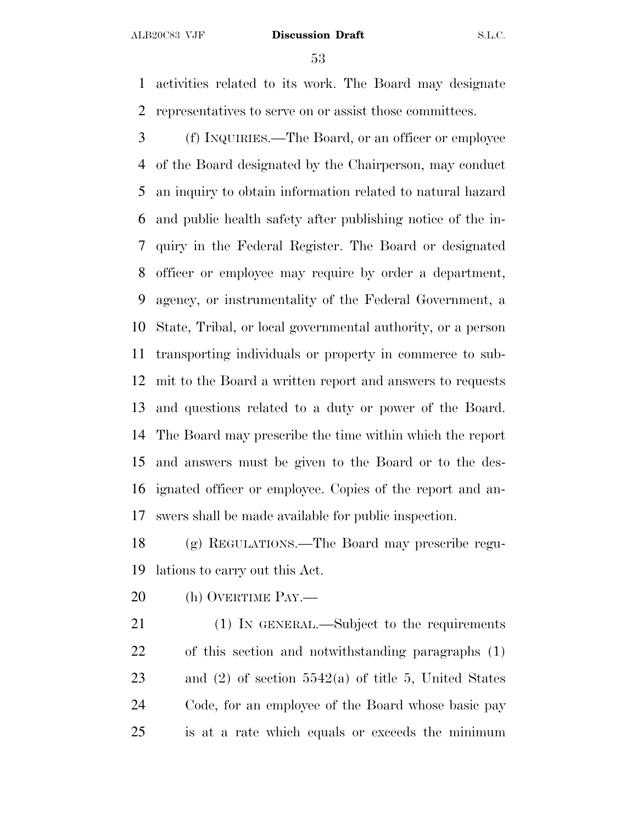activities related to its work. The Board may designate representatives to serve on or assist those committees.

 (f) INQUIRIES.—The Board, or an officer or employee of the Board designated by the Chairperson, may conduct an inquiry to obtain information related to natural hazard and public health safety after publishing notice of the in- quiry in the Federal Register. The Board or designated officer or employee may require by order a department, agency, or instrumentality of the Federal Government, a State, Tribal, or local governmental authority, or a person transporting individuals or property in commerce to sub- mit to the Board a written report and answers to requests and questions related to a duty or power of the Board. The Board may prescribe the time within which the report and answers must be given to the Board or to the des- ignated officer or employee. Copies of the report and an-swers shall be made available for public inspection.

 (g) REGULATIONS.—The Board may prescribe regu-lations to carry out this Act.

20 (h) OVERTIME PAY.—

21 (1) IN GENERAL.—Subject to the requirements of this section and notwithstanding paragraphs (1) and (2) of section 5542(a) of title 5, United States Code, for an employee of the Board whose basic pay is at a rate which equals or exceeds the minimum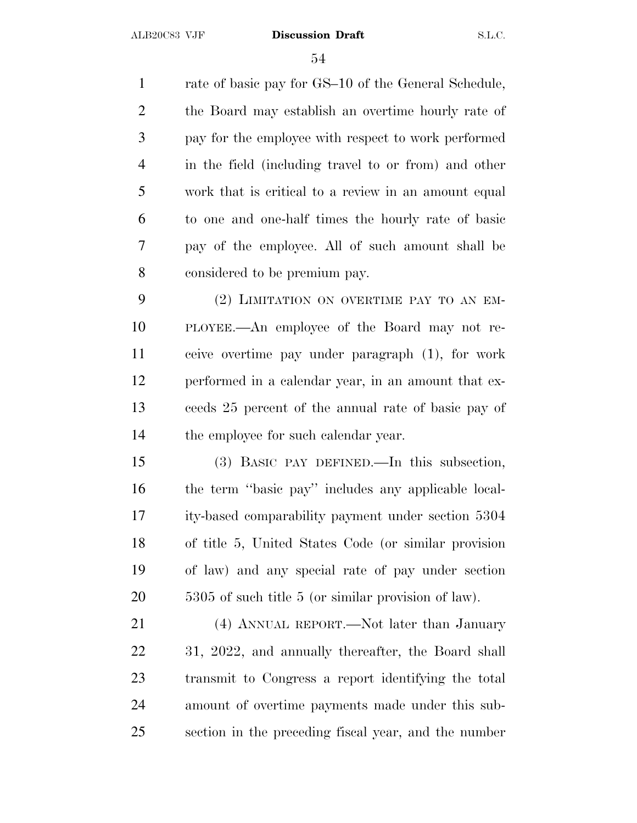1 rate of basic pay for GS–10 of the General Schedule, the Board may establish an overtime hourly rate of pay for the employee with respect to work performed in the field (including travel to or from) and other work that is critical to a review in an amount equal to one and one-half times the hourly rate of basic pay of the employee. All of such amount shall be considered to be premium pay.

 (2) LIMITATION ON OVERTIME PAY TO AN EM- PLOYEE.—An employee of the Board may not re- ceive overtime pay under paragraph (1), for work performed in a calendar year, in an amount that ex- ceeds 25 percent of the annual rate of basic pay of 14 the employee for such calendar year.

 (3) BASIC PAY DEFINED.—In this subsection, the term ''basic pay'' includes any applicable local- ity-based comparability payment under section 5304 of title 5, United States Code (or similar provision of law) and any special rate of pay under section 5305 of such title 5 (or similar provision of law).

21 (4) ANNUAL REPORT.—Not later than January 31, 2022, and annually thereafter, the Board shall transmit to Congress a report identifying the total amount of overtime payments made under this sub-section in the preceding fiscal year, and the number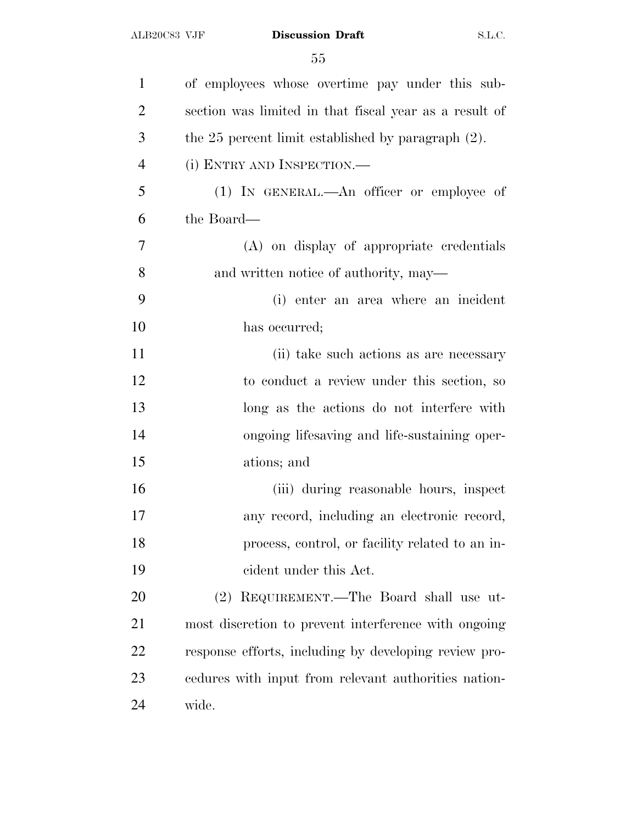| $\mathbf{1}$   | of employees whose overtime pay under this sub-         |
|----------------|---------------------------------------------------------|
| $\overline{2}$ | section was limited in that fiscal year as a result of  |
| 3              | the $25$ percent limit established by paragraph $(2)$ . |
| $\overline{4}$ | (i) ENTRY AND INSPECTION.—                              |
| 5              | (1) IN GENERAL.—An officer or employee of               |
| 6              | the Board—                                              |
| 7              | (A) on display of appropriate credentials               |
| 8              | and written notice of authority, may—                   |
| 9              | (i) enter an area where an incident                     |
| 10             | has occurred;                                           |
| 11             | (ii) take such actions as are necessary                 |
| 12             | to conduct a review under this section, so              |
| 13             | long as the actions do not interfere with               |
| 14             | ongoing lifesaving and life-sustaining oper-            |
| 15             | ations; and                                             |
| 16             | (iii) during reasonable hours, inspect                  |
| 17             | any record, including an electronic record,             |
| 18             | process, control, or facility related to an in-         |
| 19             | eident under this Act.                                  |
| 20             | (2) REQUIREMENT.—The Board shall use ut-                |
| 21             | most discretion to prevent interference with ongoing    |
| 22             | response efforts, including by developing review pro-   |
| 23             | endures with input from relevant authorities nation-    |
| 24             | wide.                                                   |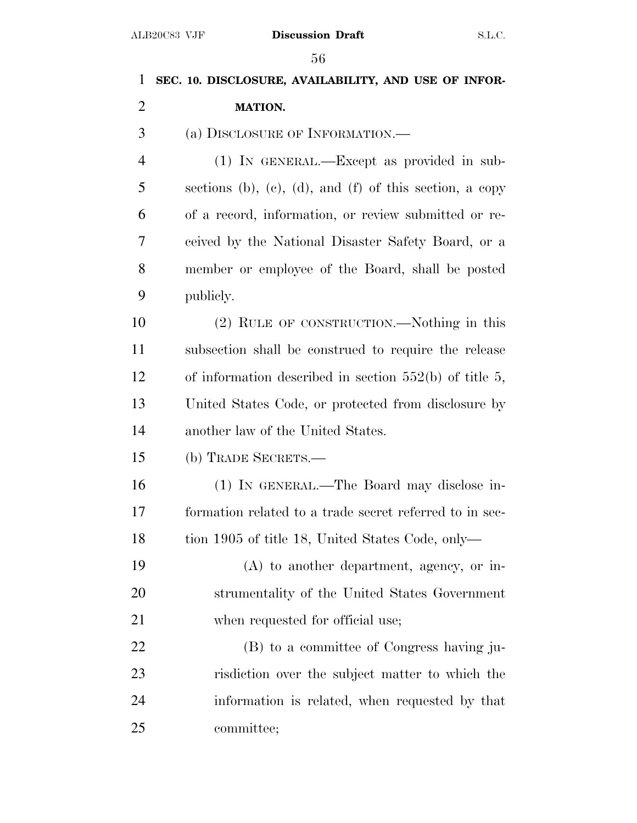# **SEC. 10. DISCLOSURE, AVAILABILITY, AND USE OF INFOR- MATION.** (a) DISCLOSURE OF INFORMATION.— (1) IN GENERAL.—Except as provided in sub- sections (b), (c), (d), and (f) of this section, a copy of a record, information, or review submitted or re- ceived by the National Disaster Safety Board, or a member or employee of the Board, shall be posted publicly. (2) RULE OF CONSTRUCTION.—Nothing in this subsection shall be construed to require the release of information described in section 552(b) of title 5, United States Code, or protected from disclosure by another law of the United States. (b) TRADE SECRETS.— (1) IN GENERAL.—The Board may disclose in- formation related to a trade secret referred to in sec-18 tion 1905 of title 18, United States Code, only— (A) to another department, agency, or in- strumentality of the United States Government 21 when requested for official use; (B) to a committee of Congress having ju- risdiction over the subject matter to which the information is related, when requested by that committee;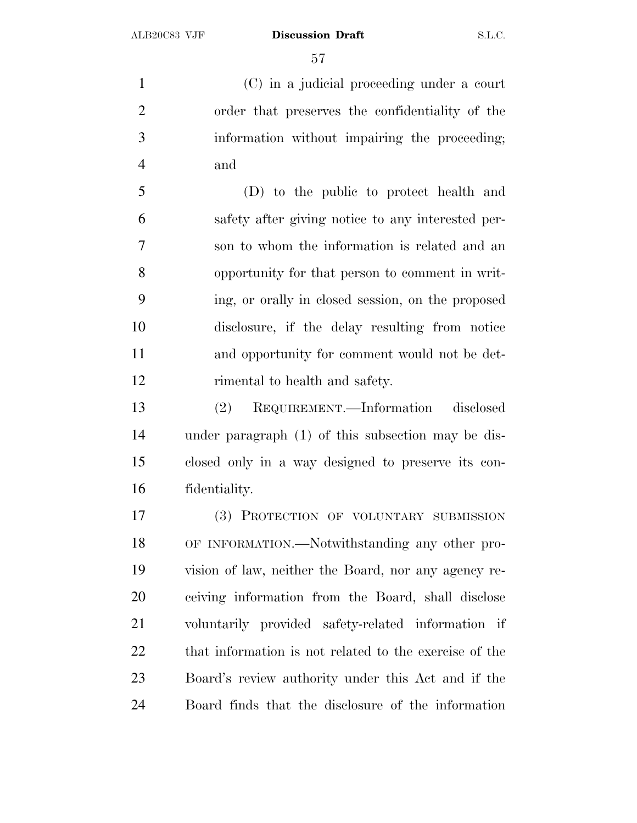(C) in a judicial proceeding under a court order that preserves the confidentiality of the information without impairing the proceeding; and

 (D) to the public to protect health and safety after giving notice to any interested per- son to whom the information is related and an opportunity for that person to comment in writ- ing, or orally in closed session, on the proposed disclosure, if the delay resulting from notice and opportunity for comment would not be det-rimental to health and safety.

 (2) REQUIREMENT.—Information disclosed under paragraph (1) of this subsection may be dis- closed only in a way designed to preserve its con-fidentiality.

 (3) PROTECTION OF VOLUNTARY SUBMISSION OF INFORMATION.—Notwithstanding any other pro- vision of law, neither the Board, nor any agency re- ceiving information from the Board, shall disclose voluntarily provided safety-related information if that information is not related to the exercise of the Board's review authority under this Act and if the Board finds that the disclosure of the information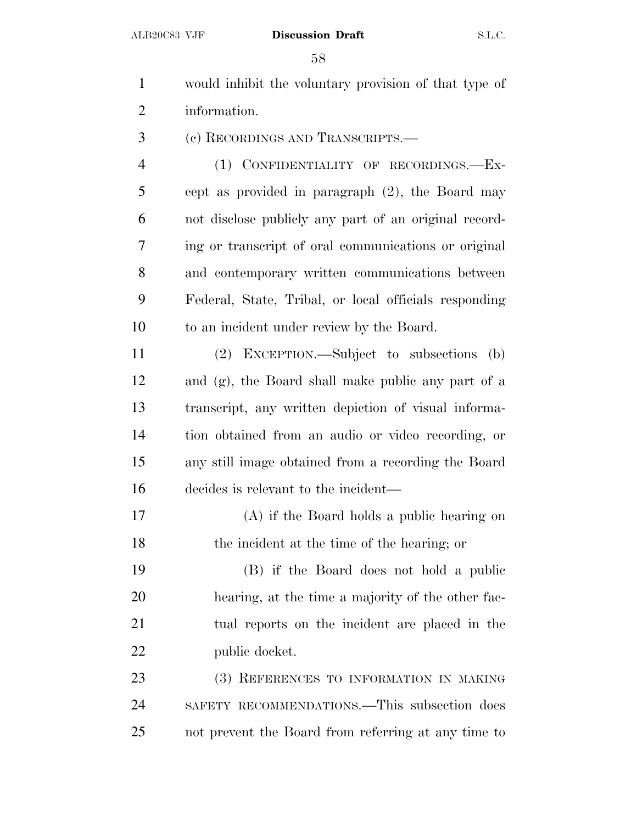- would inhibit the voluntary provision of that type of information. (c) RECORDINGS AND TRANSCRIPTS.— (1) CONFIDENTIALITY OF RECORDINGS.—Ex- cept as provided in paragraph (2), the Board may not disclose publicly any part of an original record-ing or transcript of oral communications or original
- and contemporary written communications between Federal, State, Tribal, or local officials responding to an incident under review by the Board.
- (2) EXCEPTION.—Subject to subsections (b) and (g), the Board shall make public any part of a transcript, any written depiction of visual informa- tion obtained from an audio or video recording, or any still image obtained from a recording the Board decides is relevant to the incident—
- (A) if the Board holds a public hearing on the incident at the time of the hearing; or
- (B) if the Board does not hold a public hearing, at the time a majority of the other fac- tual reports on the incident are placed in the 22 public docket.
- (3) REFERENCES TO INFORMATION IN MAKING SAFETY RECOMMENDATIONS.—This subsection does not prevent the Board from referring at any time to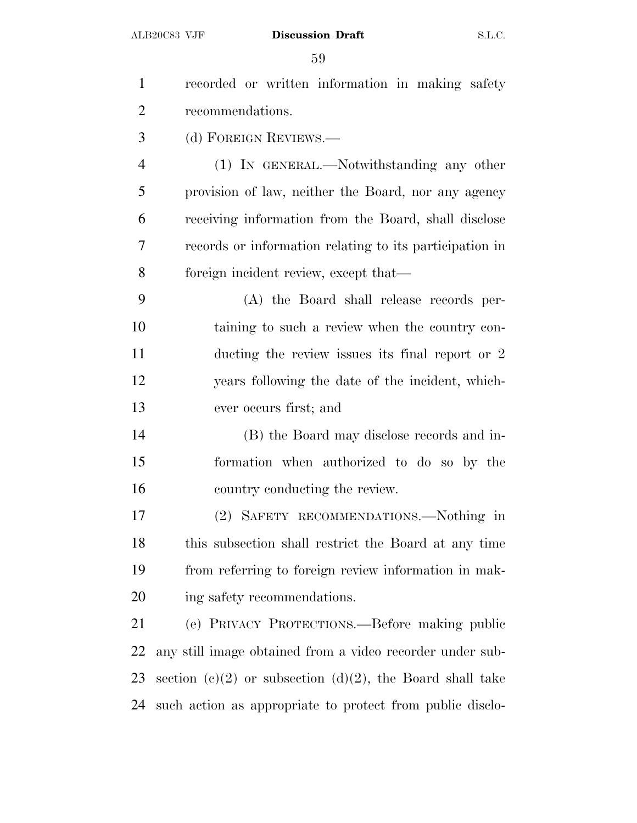| $\mathbf{1}$   | recorded or written information in making safety          |
|----------------|-----------------------------------------------------------|
| $\overline{2}$ | recommendations.                                          |
| 3              | (d) FOREIGN REVIEWS.—                                     |
| $\overline{4}$ | (1) IN GENERAL.—Notwithstanding any other                 |
| 5              | provision of law, neither the Board, nor any agency       |
| 6              | receiving information from the Board, shall disclose      |
| 7              | records or information relating to its participation in   |
| 8              | foreign incident review, except that—                     |
| 9              | (A) the Board shall release records per-                  |
| 10             | taining to such a review when the country con-            |
| 11             | ducting the review issues its final report or 2           |
| 12             | years following the date of the incident, which-          |
| 13             | ever occurs first; and                                    |
| 14             | (B) the Board may disclose records and in-                |
| 15             | formation when authorized to do so by the                 |
| 16             | country conducting the review.                            |
| 17             | (2) SAFETY RECOMMENDATIONS.—Nothing in                    |
| 18             | this subsection shall restrict the Board at any time      |
| 19             | from referring to foreign review information in mak-      |
| 20             | ing safety recommendations.                               |
| 21             | (e) PRIVACY PROTECTIONS.—Before making public             |
| 22             | any still image obtained from a video recorder under sub- |
| 23             | section (c)(2) or subsection (d)(2), the Board shall take |
| 24             | such action as appropriate to protect from public disclo- |
|                |                                                           |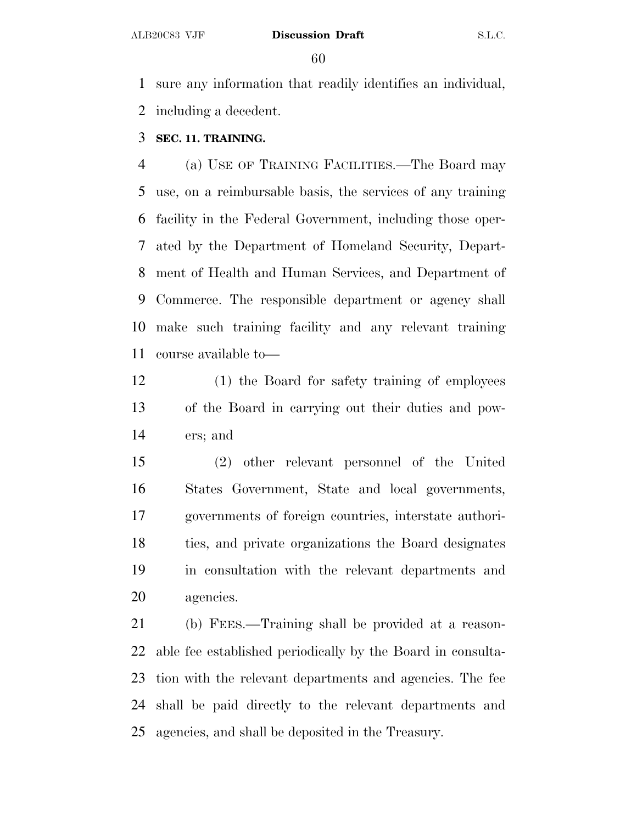sure any information that readily identifies an individual, including a decedent.

## **SEC. 11. TRAINING.**

 (a) USE OF TRAINING FACILITIES.—The Board may use, on a reimbursable basis, the services of any training facility in the Federal Government, including those oper- ated by the Department of Homeland Security, Depart- ment of Health and Human Services, and Department of Commerce. The responsible department or agency shall make such training facility and any relevant training course available to—

 (1) the Board for safety training of employees of the Board in carrying out their duties and pow-ers; and

 (2) other relevant personnel of the United States Government, State and local governments, governments of foreign countries, interstate authori- ties, and private organizations the Board designates in consultation with the relevant departments and agencies.

 (b) FEES.—Training shall be provided at a reason- able fee established periodically by the Board in consulta- tion with the relevant departments and agencies. The fee shall be paid directly to the relevant departments and agencies, and shall be deposited in the Treasury.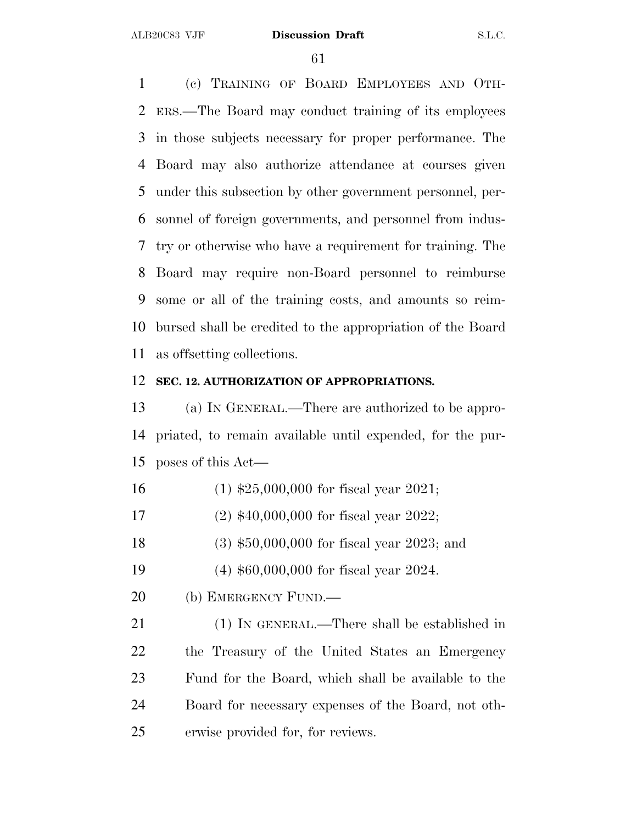(c) TRAINING OF BOARD EMPLOYEES AND OTH- ERS.—The Board may conduct training of its employees in those subjects necessary for proper performance. The Board may also authorize attendance at courses given under this subsection by other government personnel, per- sonnel of foreign governments, and personnel from indus- try or otherwise who have a requirement for training. The Board may require non-Board personnel to reimburse some or all of the training costs, and amounts so reim- bursed shall be credited to the appropriation of the Board as offsetting collections.

## **SEC. 12. AUTHORIZATION OF APPROPRIATIONS.**

 (a) I<sup>N</sup> GENERAL.—There are authorized to be appro- priated, to remain available until expended, for the pur-poses of this Act—

- (1) \$25,000,000 for fiscal year 2021;
- (2) \$40,000,000 for fiscal year 2022;
- (3) \$50,000,000 for fiscal year 2023; and
- (4) \$60,000,000 for fiscal year 2024.
- 20 (b) EMERGENCY FUND.—

 (1) IN GENERAL.—There shall be established in the Treasury of the United States an Emergency Fund for the Board, which shall be available to the Board for necessary expenses of the Board, not oth-erwise provided for, for reviews.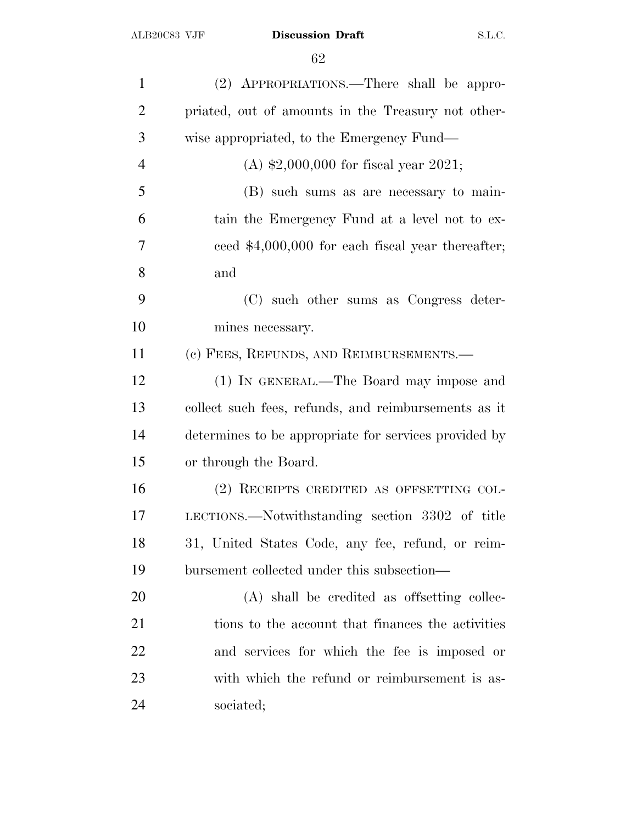| $\mathbf{1}$   | (2) APPROPRIATIONS.—There shall be appro-             |
|----------------|-------------------------------------------------------|
| $\overline{2}$ | priated, out of amounts in the Treasury not other-    |
| 3              | wise appropriated, to the Emergency Fund—             |
| $\overline{4}$ | (A) $$2,000,000$ for fiscal year 2021;                |
| 5              | (B) such sums as are necessary to main-               |
| 6              | tain the Emergency Fund at a level not to ex-         |
| 7              | ceed $$4,000,000$ for each fiscal year thereafter;    |
| 8              | and                                                   |
| 9              | (C) such other sums as Congress deter-                |
| 10             | mines necessary.                                      |
| 11             | (c) FEES, REFUNDS, AND REIMBURSEMENTS.—               |
| 12             | (1) IN GENERAL.—The Board may impose and              |
| 13             | collect such fees, refunds, and reimbursements as it  |
| 14             | determines to be appropriate for services provided by |
| 15             | or through the Board.                                 |
| 16             | (2) RECEIPTS CREDITED AS OFFSETTING COL-              |
| 17             | LECTIONS.—Notwithstanding section 3302 of title       |
| 18             | 31, United States Code, any fee, refund, or reim-     |
| 19             | bursement collected under this subsection—            |
| 20             | (A) shall be credited as offsetting collec-           |
| 21             | tions to the account that finances the activities     |
| 22             | and services for which the fee is imposed or          |
| 23             | with which the refund or reimbursement is as-         |
| 24             | sociated;                                             |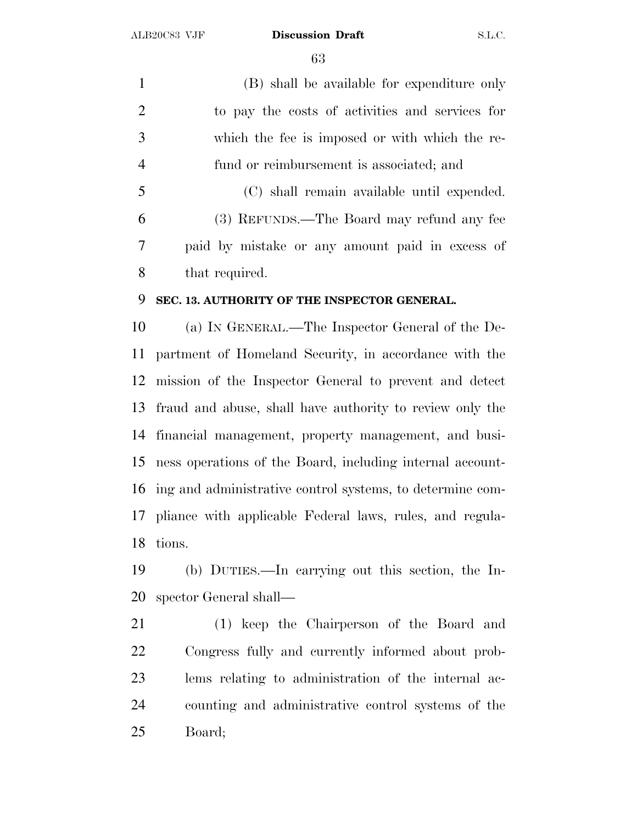(B) shall be available for expenditure only to pay the costs of activities and services for which the fee is imposed or with which the re- fund or reimbursement is associated; and (C) shall remain available until expended. (3) REFUNDS.—The Board may refund any fee

 paid by mistake or any amount paid in excess of that required.

## **SEC. 13. AUTHORITY OF THE INSPECTOR GENERAL.**

 (a) I<sup>N</sup> GENERAL.—The Inspector General of the De- partment of Homeland Security, in accordance with the mission of the Inspector General to prevent and detect fraud and abuse, shall have authority to review only the financial management, property management, and busi- ness operations of the Board, including internal account- ing and administrative control systems, to determine com- pliance with applicable Federal laws, rules, and regula-tions.

 (b) DUTIES.—In carrying out this section, the In-spector General shall—

 (1) keep the Chairperson of the Board and Congress fully and currently informed about prob- lems relating to administration of the internal ac- counting and administrative control systems of the Board;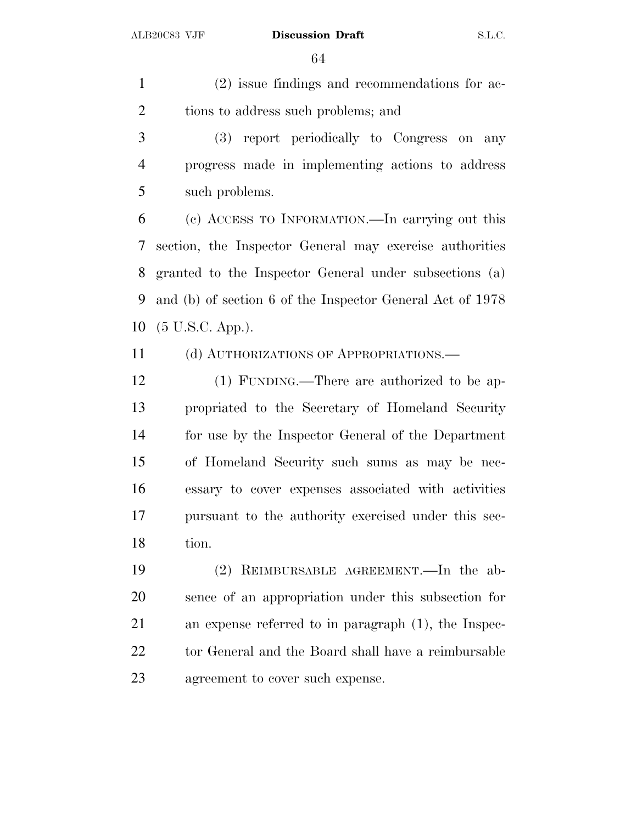(2) issue findings and recommendations for ac-2 tions to address such problems; and

 (3) report periodically to Congress on any progress made in implementing actions to address such problems.

 (c) ACCESS TO INFORMATION.—In carrying out this section, the Inspector General may exercise authorities granted to the Inspector General under subsections (a) and (b) of section 6 of the Inspector General Act of 1978 (5 U.S.C. App.).

(d) AUTHORIZATIONS OF APPROPRIATIONS.—

 (1) FUNDING.—There are authorized to be ap- propriated to the Secretary of Homeland Security for use by the Inspector General of the Department of Homeland Security such sums as may be nec- essary to cover expenses associated with activities pursuant to the authority exercised under this sec-tion.

 (2) REIMBURSABLE AGREEMENT.—In the ab- sence of an appropriation under this subsection for an expense referred to in paragraph (1), the Inspec-22 tor General and the Board shall have a reimbursable agreement to cover such expense.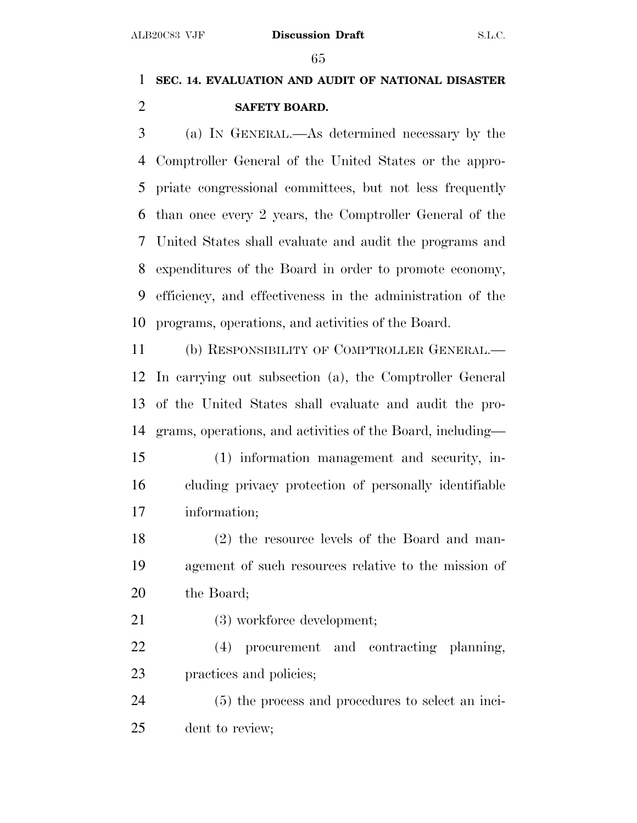## **SEC. 14. EVALUATION AND AUDIT OF NATIONAL DISASTER SAFETY BOARD.**

 (a) I<sup>N</sup> GENERAL.—As determined necessary by the Comptroller General of the United States or the appro- priate congressional committees, but not less frequently than once every 2 years, the Comptroller General of the United States shall evaluate and audit the programs and expenditures of the Board in order to promote economy, efficiency, and effectiveness in the administration of the programs, operations, and activities of the Board.

 (b) RESPONSIBILITY OF COMPTROLLER GENERAL.— In carrying out subsection (a), the Comptroller General of the United States shall evaluate and audit the pro-grams, operations, and activities of the Board, including—

- (1) information management and security, in- cluding privacy protection of personally identifiable information;
- (2) the resource levels of the Board and man- agement of such resources relative to the mission of the Board;
- 21 (3) workforce development;
- (4) procurement and contracting planning, practices and policies;

 (5) the process and procedures to select an inci-dent to review;